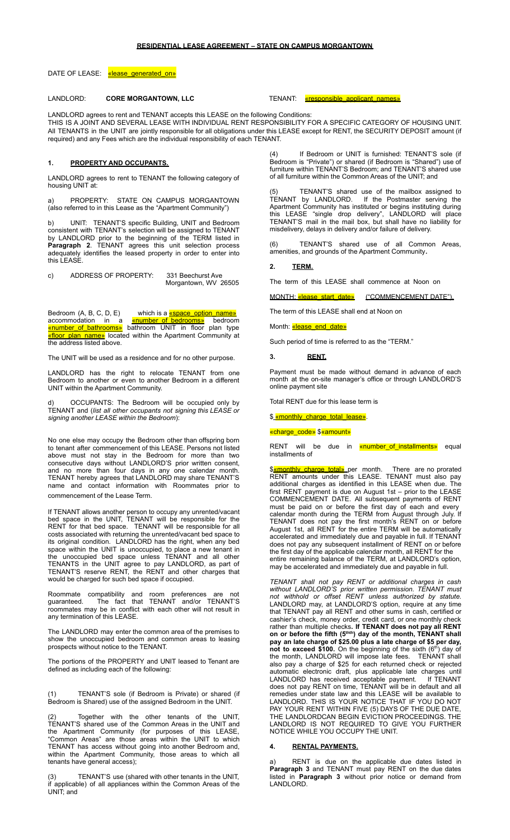## **RESIDENTIAL LEASE AGREEMENT – STATE ON CAMPUS MORGANTOWN**

DATE OF LEASE: «lease generated on»

# LANDLORD: **CORE MORGANTOWN, LLC** TENANT: «responsible\_applicant\_names»

LANDLORD agrees to rent and TENANT accepts this LEASE on the following Conditions: THIS IS A JOINT AND SEVERAL LEASE WITH INDIVIDUAL RENT RESPONSIBILITY FOR A SPECIFIC CATEGORY OF HOUSING UNIT. All TENANTS in the UNIT are jointly responsible for all obligations under this LEASE except for RENT, the SECURITY DEPOSIT amount (if required) and any Fees which are the individual responsibility of each TENANT.

## **1. PROPERTY AND OCCUPANTS.**

LANDLORD agrees to rent to TENANT the following category of housing UNIT at:

PROPERTY: STATE ON CAMPUS MORGANTOWN (also referred to in this Lease as the "Apartment Community")

b) UNIT: TENANT'S specific Building, UNIT and Bedroom consistent with TENANT's selection will be assigned to TENANT by LANDLORD prior to the beginning of the TERM listed in **Paragraph 2**. TENANT agrees this unit selection process adequately identifies the leased property in order to enter into this LEASE.

c) ADDRESS OF PROPERTY: 331 Beechurst Ave Morgantown, WV 26505

Bedroom (A, B, C, D, E) which is a **«space\_option\_name»** accommodation in a *cnumber* of bedrooms» bedroom «number of bathrooms» bathroom UNIT in floor plan type rfloor plan name» located within the Apartment Community at the address listed above.

The UNIT will be used as a residence and for no other purpose.

LANDLORD has the right to relocate TENANT from one Bedroom to another or even to another Bedroom in a different UNIT within the Apartment Community.

OCCUPANTS: The Bedroom will be occupied only by TENANT and (*list all other occupants not signing this LEASE or signing another LEASE within the Bedroom*):

No one else may occupy the Bedroom other than offspring born to tenant after commencement of this LEASE. Persons not listed above must not stay in the Bedroom for more than two consecutive days without LANDLORD'S prior written consent, and no more than four days in any one calendar month. TENANT hereby agrees that LANDLORD may share TENANT'S name and contact information with Roommates prior to commencement of the Lease Term.

If TENANT allows another person to occupy any unrented/vacant bed space in the UNIT, TENANT will be responsible for the RENT for that bed space. TENANT will be responsible for all costs associated with returning the unrented/vacant bed space to its original condition. LANDLORD has the right, when any bed space within the UNIT is unoccupied, to place a new tenant in the unoccupied bed space unless TENANT and all other TENANTS in the UNIT agree to pay LANDLORD, as part of TENANT'S reserve RENT, the RENT and other charges that would be charged for such bed space if occupied.

Roommate compatibility and room preferences are not guaranteed. The fact that TENANT and/or TENANT'S roommates may be in conflict with each other will not result in any termination of this LEASE.

The LANDLORD may enter the common area of the premises to show the unoccupied bedroom and common areas to leasing prospects without notice to the TENANT.

The portions of the PROPERTY and UNIT leased to Tenant are defined as including each of the following:

(1) TENANT'S sole (if Bedroom is Private) or shared (if Bedroom is Shared) use of the assigned Bedroom in the UNIT.

Together with the other tenants of the TENANT'S shared use of the Common Areas in the UNIT and the Apartment Community (for purposes of this LEASE, "Common Areas" are those areas within the UNIT to which TENANT has access without going into another Bedroom and, within the Apartment Community, those areas to which all tenants have general access);

TENANT'S use (shared with other tenants in the UNIT, if applicable) of all appliances within the Common Areas of the UNIT; and

If Bedroom or UNIT is furnished: TENANT'S sole (if Bedroom is "Private") or shared (if Bedroom is "Shared") use of furniture within TENANT'S Bedroom; and TENANT'S shared use of all furniture within the Common Areas of the UNIT; and

(5) TENANT'S shared use of the mailbox assigned to TENANT by LANDLORD. If the Postmaster serving the Apartment Community has instituted or begins instituting during this LEASE "single drop delivery", LANDLORD will place TENANT'S mail in the mail box, but shall have no liability for misdelivery, delays in delivery and/or failure of delivery.

(6) TENANT'S shared use of all Common Areas, amenities, and grounds of the Apartment Community**.**

## **2. TERM.**

The term of this LEASE shall commence at Noon on

MONTH: «lease\_start\_date» ("COMMENCEMENT DATE").

The term of this LEASE shall end at Noon on

Month: «lease end date»

Such period of time is referred to as the "TERM."

## **3. RENT.**

Payment must be made without demand in advance of each month at the on-site manager's office or through LANDLORD'S online payment site

Total RENT due for this lease term is

\$ <u>«monthly\_charge\_total\_lease»</u>

## «charge\_code» \$«amount»

RENT will be due in <mark>«number\_of\_installments»</mark> equal installments of

\$**«monthly\_charge\_total»** per month. There are no prorated RENT amounts under this LEASE. TENANT must also pay additional charges as identified in this LEASE when due. The first RENT payment is due on August 1st – prior to the LEASE COMMENCEMENT DATE. All subsequent payments of RENT must be paid on or before the first day of each and every calendar month during the TERM from August through July. If TENANT does not pay the first month's RENT on or before August 1st, all RENT for the entire TERM will be automatically accelerated and immediately due and payable in full. If TENANT does not pay any subsequent installment of RENT on or before the first day of the applicable calendar month, all RENT for the entire remaining balance of the TERM, at LANDLORD's option, may be accelerated and immediately due and payable in full.

*TENANT shall not pay RENT or additional charges in cash without LANDLORD'S prior written permission. TENANT must not withhold or offset RENT unless authorized by statute.* LANDLORD may, at LANDLORD'S option, require at any time that TENANT pay all RENT and other sums in cash, certified or cashier's check, money order, credit card, or one monthly check rather than multiple checks**. If TENANT does not pay all RENT on** or before the fifth (5<sup>thth</sup>) day of the month, TENANT shall **pay an late charge of \$25.00 plus a late charge of \$5 per day,** not to exceed \$100. On the beginning of the sixth (6<sup>th</sup>) day of the month, LANDLORD will impose late fees. TENANT shall also pay a charge of \$25 for each returned check or rejected automatic electronic draft, plus applicable late charges until LANDLORD has received acceptable payment. If TENANT does not pay RENT on time, TENANT will be in default and all remedies under state law and this LEASE will be available to LANDLORD. THIS IS YOUR NOTICE THAT IF YOU DO NOT PAY YOUR RENT WITHIN FIVE (5) DAYS OF THE DUE DATE, THE LANDLORDCAN BEGIN EVICTION PROCEEDINGS. THE LANDLORD IS NOT REQUIRED TO GIVE YOU FURTHER NOTICE WHILE YOU OCCUPY THE UNIT.

# **4. RENTAL PAYMENTS.**

RENT is due on the applicable due dates listed in **Paragraph 3** and TENANT must pay RENT on the due dates listed in **Paragraph 3** without prior notice or demand from LANDLORD.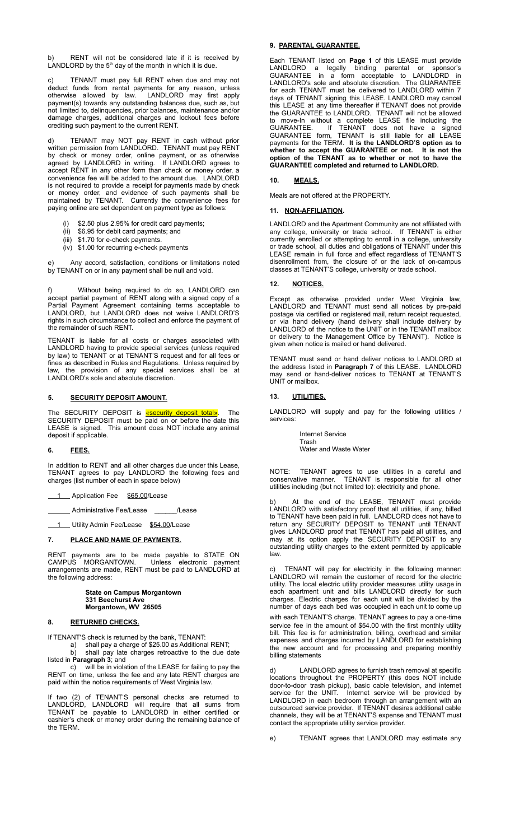RENT will not be considered late if it is received by LANDLORD by the  $5<sup>th</sup>$  day of the month in which it is due.

c) TENANT must pay full RENT when due and may not deduct funds from rental payments for any reason, unless otherwise allowed by law. LANDLORD may first apply payment(s) towards any outstanding balances due, such as, but not limited to, delinquencies, prior balances, maintenance and/or damage charges, additional charges and lockout fees before crediting such payment to the current RENT.

d) TENANT may NOT pay RENT in cash without prior written permission from LANDLORD. TENANT must pay RENT by check or money order, online payment, or as otherwise agreed by LANDLORD in writing. If LANDLORD agrees to accept RENT in any other form than check or money order, a convenience fee will be added to the amount due. LANDLORD is not required to provide a receipt for payments made by check or money order, and evidence of such payments shall be maintained by TENANT. Currently the convenience fees for paying online are set dependent on payment type as follows:

- \$2.50 plus 2.95% for credit card payments;
- (ii) \$6.95 for debit card payments; and
- (iii) \$1.70 for e-check payments.
- (iv) \$1.00 for recurring e-check payments

Any accord, satisfaction, conditions or limitations noted by TENANT on or in any payment shall be null and void.

Without being required to do so, LANDLORD can accept partial payment of RENT along with a signed copy of a Partial Payment Agreement containing terms acceptable to LANDLORD, but LANDLORD does not waive LANDLORD'S rights in such circumstance to collect and enforce the payment of the remainder of such RENT.

TENANT is liable for all costs or charges associated with LANDLORD having to provide special services (unless required by law) to TENANT or at TENANT'S request and for all fees or fines as described in Rules and Regulations. Unless required by law, the provision of any special services shall be at LANDLORD's sole and absolute discretion.

# **5. SECURITY DEPOSIT AMOUNT.**

The SECURITY DEPOSIT is *«security deposit total»*. The SECURITY DEPOSIT must be paid on or before the date this LEASE is signed. This amount does NOT include any animal deposit if applicable.

## **6. FEES.**

In addition to RENT and all other charges due under this Lease, TENANT agrees to pay LANDLORD the following fees and charges (list number of each in space below)

1 Application Fee \$65.00/Lease

Administrative Fee/Lease \_\_\_\_\_\_/Lease

1 Utility Admin Fee/Lease \$54.00/Lease

## **7. PLACE AND NAME OF PAYMENTS.**

RENT payments are to be made payable to STATE ON CAMPUS MORGANTOWN. Unless electronic payment Unless electronic payment arrangements are made, RENT must be paid to LANDLORD at the following address:

#### **State on Campus Morgantown 331 Beechurst Ave Morgantown, WV 26505**

## **8. RETURNED CHECKS.**

If TENANT'S check is returned by the bank, TENANT:

a) shall pay a charge of \$25.00 as Additional RENT; b) shall pay late charges retroactive to the due date listed in **Paragraph 3**; and

c) will be in violation of the LEASE for failing to pay the RENT on time, unless the fee and any late RENT charges are paid within the notice requirements of West Virginia law.

If two (2) of TENANT'S personal checks are returned to LANDLORD, LANDLORD will require that all sums from TENANT be payable to LANDLORD in either certified or cashier's check or money order during the remaining balance of the TERM.

## **9. PARENTAL GUARANTEE.**

Each TENANT listed on **Page 1** of this LEASE must provide LANDLORD a legally binding parental or sponsor's GUARANTEE in a form acceptable to LANDLORD in LANDLORD's sole and absolute discretion. The GUARANTEE for each TENANT must be delivered to LANDLORD within 7 days of TENANT signing this LEASE. LANDLORD may cancel this LEASE at any time thereafter if TENANT does not provide the GUARANTEE to LANDLORD. TENANT will not be allowed to move-In without a complete LEASE file including the GUARANTEE. If TENANT does not have a signed GUARANTEE form, TENANT is still liable for all LEASE payments for the TERM. **It is the LANDLORD'S option as to whether to accept the GUARANTEE or not. It is not the option of the TENANT as to whether or not to have the GUARANTEE completed and returned to LANDLORD.**

## **10. MEALS.**

Meals are not offered at the PROPERTY.

## **11. NON-AFFILIATION.**

LANDLORD and the Apartment Community are not affiliated with any college, university or trade school. If TENANT is either currently enrolled or attempting to enroll in a college, university or trade school, all duties and obligations of TENANT under this LEASE remain in full force and effect regardless of TENANT'S disenrollment from, the closure of or the lack of on-campus classes at TENANT'S college, university or trade school.

#### **12. NOTICES.**

Except as otherwise provided under West Virginia law, LANDLORD and TENANT must send all notices by pre-paid postage via certified or registered mail, return receipt requested, or via hand delivery (hand delivery shall include delivery by LANDLORD of the notice to the UNIT or in the TENANT mailbox or delivery to the Management Office by TENANT). Notice is given when notice is mailed or hand delivered.

TENANT must send or hand deliver notices to LANDLORD at the address listed in **Paragraph 7** of this LEASE. LANDLORD may send or hand-deliver notices to TENANT at TENANT'S UNIT or mailbox.

## **13. UTILITIES.**

LANDLORD will supply and pay for the following utilities / services:

> Internet Service Trash Water and Waste Water

NOTE: TENANT agrees to use utilities in a careful and conservative manner. TENANT is responsible for all other utilities including (but not limited to): electricity and phone.

At the end of the LEASE, TENANT must provide LANDLORD with satisfactory proof that all utilities, if any, billed to TENANT have been paid in full. LANDLORD does not have to return any SECURITY DEPOSIT to TENANT until TENANT gives LANDLORD proof that TENANT has paid all utilities, and may at its option apply the SECURITY DEPOSIT to any outstanding utility charges to the extent permitted by applicable law.

c) TENANT will pay for electricity in the following manner: LANDLORD will remain the customer of record for the electric utility. The local electric utility provider measures utility usage in each apartment unit and bills LANDLORD directly for such charges. Electric charges for each unit will be divided by the number of days each bed was occupied in each unit to come up with each TENANT'S charge. TENANT agrees to pay a one-time service fee in the amount of \$54.00 with the first monthly utility bill. This fee is for administration, billing, overhead and similar expenses and charges incurred by LANDLORD for establishing the new account and for processing and preparing monthly billing statements

d) LANDLORD agrees to furnish trash removal at specific locations throughout the PROPERTY (this does NOT include door-to-door trash pickup), basic cable television, and internet service for the UNIT. Internet service will be provided by LANDLORD in each bedroom through an arrangement with an outsourced service provider. If TENANT desires additional cable channels, they will be at TENANT'S expense and TENANT must contact the appropriate utility service provider.

e) TENANT agrees that LANDLORD may estimate any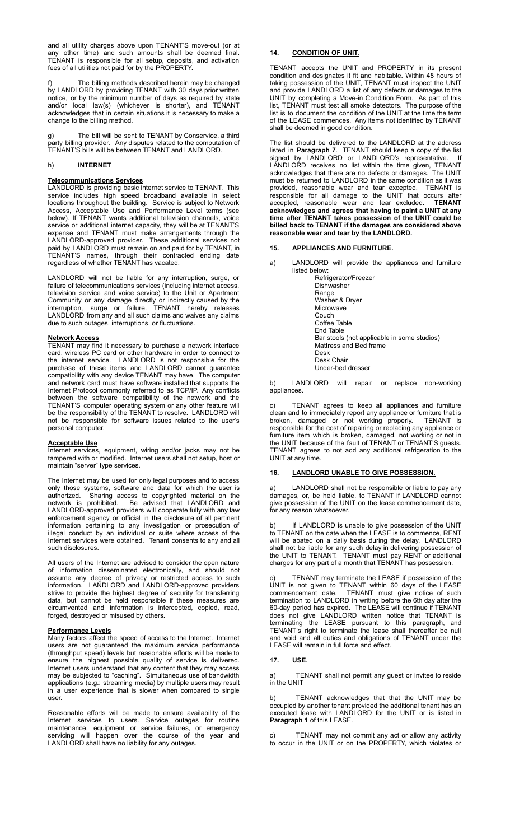and all utility charges above upon TENANT'S move-out (or at any other time) and such amounts shall be deemed final. TENANT is responsible for all setup, deposits, and activation fees of all utilities not paid for by the PROPERTY.

f) The billing methods described herein may be changed by LANDLORD by providing TENANT with 30 days prior written notice, or by the minimum number of days as required by state and/or local law(s) (whichever is shorter), and TENANT acknowledges that in certain situations it is necessary to make a change to the billing method.

g) The bill will be sent to TENANT by Conservice, a third party billing provider. Any disputes related to the computation of TENANT'S bills will be between TENANT and LANDLORD.

# h) **INTERNET**

## **Telecommunications Services**

LANDLORD is providing basic internet service to TENANT. This service includes high speed broadband available in select locations throughout the building. Service is subject to Network Access, Acceptable Use and Performance Level terms (see below). If TENANT wants additional television channels, service or additional internet capacity, they will be at TENANT'S expense and TENANT must make arrangements through the LANDLORD‐approved provider. These additional services not paid by LANDLORD must remain on and paid for by TENANT, in TENANT'S names, through their contracted ending date regardless of whether TENANT has vacated.

LANDLORD will not be liable for any interruption, surge, or failure of telecommunications services (including internet access, television service and voice service) to the Unit or Apartment Community or any damage directly or indirectly caused by the interruption, surge or failure. TENANT hereby releases LANDLORD from any and all such claims and waives any claims due to such outages, interruptions, or fluctuations.

## **Network Access**

TENANT may find it necessary to purchase a network interface card, wireless PC card or other hardware in order to connect to the internet service. LANDLORD is not responsible for the purchase of these items and LANDLORD cannot guarantee compatibility with any device TENANT may have. The computer and network card must have software installed that supports the Internet Protocol commonly referred to as TCP/IP. Any conflicts between the software compatibility of the network and the TENANT'S computer operating system or any other feature will be the responsibility of the TENANT to resolve. LANDLORD will not be responsible for software issues related to the user's personal computer.

#### **Acceptable Use**

Internet services, equipment, wiring and/or jacks may not be tampered with or modified. Internet users shall not setup, host or maintain "server" type services.

The Internet may be used for only legal purposes and to access only those systems, software and data for which the user is authorized. Sharing access to copyrighted material on the network is prohibited. Be advised that LANDLORD and LANDLORD-approved providers will cooperate fully with any law enforcement agency or official in the disclosure of all pertinent information pertaining to any investigation or prosecution of illegal conduct by an individual or suite where access of the Internet services were obtained. Tenant consents to any and all such disclosures.

All users of the Internet are advised to consider the open nature of information disseminated electronically, and should not assume any degree of privacy or restricted access to such information. LANDLORD and LANDLORD-approved providers strive to provide the highest degree of security for transferring data, but cannot be held responsible if these measures are circumvented and information is intercepted, copied, read, forged, destroyed or misused by others.

#### **Performance Levels**

Many factors affect the speed of access to the Internet. Internet users are not guaranteed the maximum service performance (throughput speed) levels but reasonable efforts will be made to ensure the highest possible quality of service is delivered. Internet users understand that any content that they may access may be subjected to "caching". Simultaneous use of bandwidth applications (e.g.: streaming media) by multiple users may result in a user experience that is slower when compared to single user.

Reasonable efforts will be made to ensure availability of the Internet services to users. Service outages for routine maintenance, equipment or service failures, or emergency servicing will happen over the course of the year and LANDLORD shall have no liability for any outages.

# **14. CONDITION OF UNIT.**

TENANT accepts the UNIT and PROPERTY in its present condition and designates it fit and habitable. Within 48 hours of taking possession of the UNIT, TENANT must inspect the UNIT and provide LANDLORD a list of any defects or damages to the UNIT by completing a Move-in Condition Form. As part of this list, TENANT must test all smoke detectors. The purpose of the list is to document the condition of the UNIT at the time the term of the LEASE commences. Any items not identified by TENANT shall be deemed in good condition.

The list should be delivered to the LANDLORD at the address listed in **Paragraph 7**. TENANT should keep a copy of the list signed by LANDLORD or LANDLORD's representative. If LANDLORD receives no list within the time given, TENANT acknowledges that there are no defects or damages. The UNIT must be returned to LANDLORD in the same condition as it was provided, reasonable wear and tear excepted. TENANT is responsible for all damage to the UNIT that occurs after accepted, reasonable wear and tear excluded. **TENANT acknowledges and agrees that having to paint a UNIT at any time after TENANT takes possession of the UNIT could be billed back to TENANT if the damages are considered above reasonable wear and tear by the LANDLORD.**

## **15. APPLIANCES AND FURNITURE.**

a) LANDLORD will provide the appliances and furniture listed below:

Refrigerator/Freezer Dishwasher Range Washer & Dryer Microwave Couch Coffee Table End Table Bar stools (not applicable in some studios) Mattress and Bed frame Desk Desk Chair Under-bed dresser

b) LANDLORD will repair or replace non-working appliances.

TENANT agrees to keep all appliances and furniture clean and to immediately report any appliance or furniture that is broken, damaged or not working properly. TENANT is responsible for the cost of repairing or replacing any appliance or furniture item which is broken, damaged, not working or not in the UNIT because of the fault of TENANT or TENANT'S guests. TENANT agrees to not add any additional refrigeration to the UNIT at any time.

## **16. LANDLORD UNABLE TO GIVE POSSESSION.**

a) LANDLORD shall not be responsible or liable to pay any damages, or, be held liable, to TENANT if LANDLORD cannot give possession of the UNIT on the lease commencement date, for any reason whatsoever.

b) If LANDLORD is unable to give possession of the UNIT to TENANT on the date when the LEASE is to commence, RENT will be abated on a daily basis during the delay. LANDLORD shall not be liable for any such delay in delivering possession of the UNIT to TENANT. TENANT must pay RENT or additional charges for any part of a month that TENANT has possession.

TENANT may terminate the LEASE if possession of the UNIT is not given to TENANT within 60 days of the LEASE commencement date. TENANT must give notice of such termination to LANDLORD in writing before the 6th day after the 60-day period has expired. The LEASE will continue if TENANT does not give LANDLORD written notice that TENANT is terminating the LEASE pursuant to this paragraph, and TENANT's right to terminate the lease shall thereafter be null and void and all duties and obligations of TENANT under the LEASE will remain in full force and effect.

## **17. USE.**

a) TENANT shall not permit any guest or invitee to reside in the UNIT

b) TENANT acknowledges that that the UNIT may be occupied by another tenant provided the additional tenant has an executed lease with LANDLORD for the UNIT or is listed in **Paragraph 1** of this LEASE.

c) TENANT may not commit any act or allow any activity to occur in the UNIT or on the PROPERTY, which violates or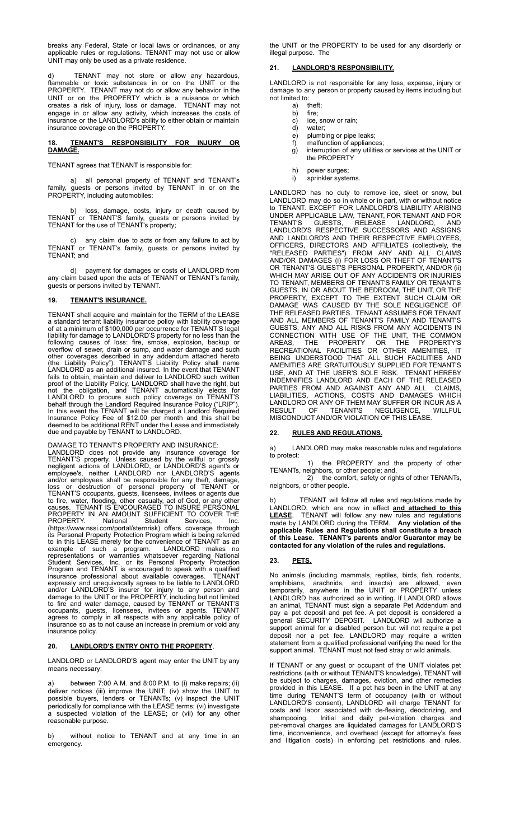breaks any Federal, State or local laws or ordinances, or any applicable rules or regulations. TENANT may not use or allow UNIT may only be used as a private residence.

TENANT may not store or allow any hazardous, flammable or toxic substances in or on the UNIT or the PROPERTY. TENANT may not do or allow any behavior in the UNIT or on the PROPERTY which is a nuisance or which creates a risk of injury, loss or damage. TENANT may not engage in or allow any activity, which increases the costs of insurance or the LANDLORD's ability to either obtain or maintain insurance coverage on the PROPERTY.

## **18. TENANT'S RESPONSIBILITY FOR INJURY OR DAMAGE.**

TENANT agrees that TENANT is responsible for:

a) all personal property of TENANT and TENANT's family, guests or persons invited by TENANT in or on the PROPERTY, including automobiles;

b) loss, damage, costs, injury or death caused by TENANT or TENANT'S family, guests or persons invited by TENANT for the use of TENANT's property;

c) any claim due to acts or from any failure to act by TENANT or TENANT's family, guests or persons invited by TENANT; and

d) payment for damages or costs of LANDLORD from any claim based upon the acts of TENANT or TENANT's family, guests or persons invited by TENANT.

# **19. TENANT'S INSURANCE.**

TENANT shall acquire and maintain for the TERM of the LEASE a standard tenant liability insurance policy with liability coverage of at a minimum of \$100,000 per occurrence for TENANT'S legal liability for damage to LANDLORD'S property for no less than the following causes of loss: fire, smoke, explosion, backup or overflow of sewer, drain or sump, and water damage and such other coverages described in any addendum attached hereto (the Liability Policy"). TENANT'S Liability Policy shall name LANDLORD as an additional insured. In the event that TENANT fails to obtain, maintain and deliver to LANDLORD such written proof of the Liability Policy, LANDLORD shall have the right, but not the obligation, and TENANT automatically elects for LANDLORD to procure such policy coverage on TENANT'S behalf through the Landlord Required Insurance Policy ("LRIP"). In this event the TENANT will be charged a Landlord Required Insurance Policy Fee of \$12.00 per month and this shall be deemed to be additional RENT under the Lease and immediately due and payable by TENANT to LANDLORD.

DAMAGE TO TENANT'S PROPERTY AND INSURANCE:

LANDLORD does not provide any insurance coverage for TENANT'S property. Unless caused by the willful or grossly negligent actions of LANDLORD, or LANDLORD'S agent's or employee's, neither LANDLORD nor LANDLORD'S agents and/or employees shall be responsible for any theft, damage, loss or destruction of personal property of TENANT or TENANT'S occupants, guests, licensees, invitees or agents due to fire, water, flooding, other casualty, act of God, or any other causes. TENANT IS ENCOURAGED TO INSURE PERSONAL PROPERTY IN AN AMOUNT SUFFICIENT TO COVER THE PROPERTY. National Student Services, Inc. [\(https://www.nssi.com/portal/sternrisk\)](https://www.nssi.com/portal/sternrisk) offers coverage through its Personal Property Protection Program which is being referred to in this LEASE merely for the convenience of TENANT as an example of such a program. LANDLORD makes no representations or warranties whatsoever regarding National Student Services, Inc. or its Personal Property Protection Program and TENANT is encouraged to speak with a qualified insurance professional about available coverages. TENANT expressly and unequivocally agrees to be liable to LANDLORD and/or LANDLORD'S insurer for injury to any person and damage to the UNIT or the PROPERTY, including but not limited to fire and water damage, caused by TENANT or TENANT'S occupants, guests, licensees, invitees or agents. TENANT agrees to comply in all respects with any applicable policy of insurance so as to not cause an increase in premium or void any insurance policy.

## **20. LANDLORD'S ENTRY ONTO THE PROPERTY**.

LANDLORD or LANDLORD'S agent may enter the UNIT by any means necessary:

between 7:00 A.M. and 8:00 P.M. to (i) make repairs; (ii) deliver notices (iii) improve the UNIT; (iv) show the UNIT to possible buyers, lenders or TENANTs; (v) inspect the UNIT periodically for compliance with the LEASE terms; (vi) investigate a suspected violation of the LEASE; or (vii) for any other reasonable purpose.

b) without notice to TENANT and at any time in an emergency.

the UNIT or the PROPERTY to be used for any disorderly or illegal purpose. The

## **21. LANDLORD'S RESPONSIBILITY.**

LANDLORD is not responsible for any loss, expense, injury or damage to any person or property caused by items including but not limited to:

- a) theft;
- b) fire;
- c) ice, snow or rain;<br>d) water;
- d) water;<br>e) plumb<br>f) malfur e) plumbing or pipe leaks;
- f) malfunction of appliances;
- g) interruption of any utilities or services at the UNIT or the PROPERTY
- h) power surges;
- i) sprinkler systems.

LANDLORD has no duty to remove ice, sleet or snow, but LANDLORD may do so in whole or in part, with or without notice to TENANT. EXCEPT FOR LANDLORD'S LIABILITY ARISING UNDER APPLICABLE LAW, TENANT, FOR TENANT AND FOR TENANT'S GUESTS, RELEASE LANDLORD, AND LANDLORD'S RESPECTIVE SUCCESSORS AND ASSIGNS AND LANDLORD'S AND THEIR RESPECTIVE EMPLOYEES, OFFICERS, DIRECTORS AND AFFILIATES (collectively, the "RELEASED PARTIES") FROM ANY AND ALL CLAIMS AND/OR DAMAGES (i) FOR LOSS OR THEFT OF TENANT'S OR TENANT'S GUEST'S PERSONAL PROPERTY, AND/OR (ii) WHICH MAY ARISE OUT OF ANY ACCIDENTS OR INJURIES TO TENANT, MEMBERS OF TENANT'S FAMILY OR TENANT'S GUESTS, IN OR ABOUT THE BEDROOM, THE UNIT, OR THE PROPERTY, EXCEPT TO THE EXTENT SUCH CLAIM OR DAMAGE WAS CAUSED BY THE SOLE NEGLIGENCE OF THE RELEASED PARTIES. TENANT ASSUMES FOR TENANT AND ALL MEMBERS OF TENANT'S FAMILY AND TENANT'S GUESTS, ANY AND ALL RISKS FROM ANY ACCIDENTS IN CONNECTION WITH USE OF THE UNIT, THE COMMON AREAS, THE PROPERTY OR THE PROPERTY'S RECREATIONAL FACILITIES OR OTHER AMENITIES, IT BEING UNDERSTOOD THAT ALL SUCH FACILITIES AND AMENITIES ARE GRATUITOUSLY SUPPLIED FOR TENANT'S USE, AND AT THE USER'S SOLE RISK. TENANT HEREBY INDEMNIFIES LANDLORD AND EACH OF THE RELEASED PARTIES FROM AND AGAINST ANY AND ALL CLAIMS, LIABILITIES, ACTIONS, COSTS AND DAMAGES WHICH LANDLORD OR ANY OF THEM MAY SUFFER OR INCUR AS A RESULT OF TENANT'S NEGLIGENCE, WILLFUL MISCONDUCT AND/OR VIOLATION OF THIS LEASE.

## **22. RULES AND REGULATIONS.**

a) LANDLORD may make reasonable rules and regulations to protect:

1) the PROPERTY and the property of other TENANTs, neighbors, or other people; and,

2) the comfort, safety or rights of other TENANTs, neighbors, or other people.

TENANT will follow all rules and regulations made by LANDLORD, which are now in effect **and attached to this LEASE**. TENANT will follow any new rules and regulations made by LANDLORD during the TERM. **Any violation of the applicable Rules and Regulations shall constitute a breach of this Lease. TENANT's parents and/or Guarantor may be contacted for any violation of the rules and regulations.**

## **23. PETS.**

No animals (including mammals, reptiles, birds, fish, rodents, amphibians, arachnids, and insects) are allowed, even temporarily, anywhere in the UNIT or PROPERTY unless LANDLORD has authorized so in writing. If LANDLORD allows an animal, TENANT must sign a separate Pet Addendum and pay a pet deposit and pet fee. A pet deposit is considered a general SECURITY DEPOSIT. LANDLORD will authorize a support animal for a disabled person but will not require a pet deposit nor a pet fee. LANDLORD may require a written statement from a qualified professional verifying the need for the support animal. TENANT must not feed stray or wild animals.

If TENANT or any guest or occupant of the UNIT violates pet restrictions (with or without TENANT'S knowledge), TENANT will be subject to charges, damages, eviction, and other remedies provided in this LEASE. If a pet has been in the UNIT at any time during TENANT'S term of occupancy (with or without LANDLORD'S consent), LANDLORD will charge TENANT for costs and labor associated with de-fleaing, deodorizing, and shampooing. Initial and daily pet-violation charges and pet-removal charges are liquidated damages for LANDLORD'S time, inconvenience, and overhead (except for attorney's fees and litigation costs) in enforcing pet restrictions and rules.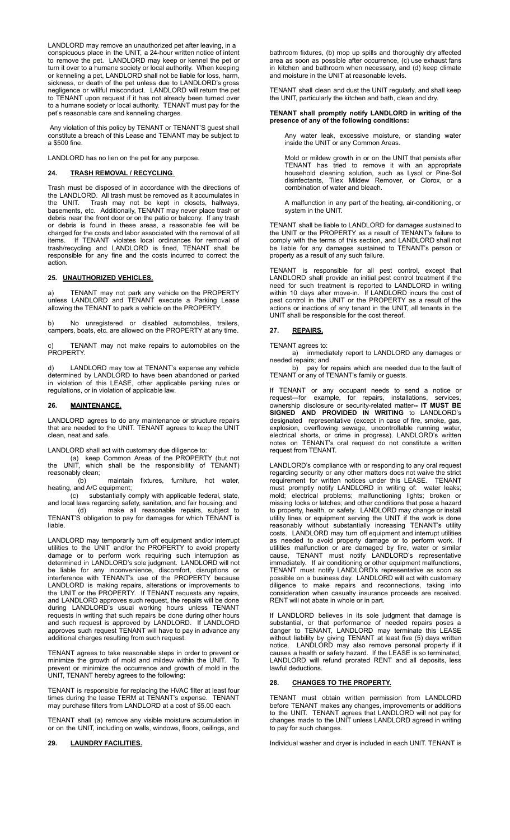LANDLORD may remove an unauthorized pet after leaving, in a conspicuous place in the UNIT, a 24-hour written notice of intent to remove the pet. LANDLORD may keep or kennel the pet or turn it over to a humane society or local authority. When keeping or kenneling a pet, LANDLORD shall not be liable for loss, harm, sickness, or death of the pet unless due to LANDLORD's gross negligence or willful misconduct. LANDLORD will return the pet to TENANT upon request if it has not already been turned over to a humane society or local authority. TENANT must pay for the pet's reasonable care and kenneling charges.

Any violation of this policy by TENANT or TENANT'S guest shall constitute a breach of this Lease and TENANT may be subject to a \$500 fine.

LANDLORD has no lien on the pet for any purpose.

## **24. TRASH REMOVAL / RECYCLING**.

Trash must be disposed of in accordance with the directions of the LANDLORD. All trash must be removed as it accumulates in the UNIT. Trash may not be kept in closets, hallways, basements, etc. Additionally, TENANT may never place trash or debris near the front door or on the patio or balcony. If any trash or debris is found in these areas, a reasonable fee will be charged for the costs and labor associated with the removal of all items. If TENANT violates local ordinances for removal of trash/recycling and LANDLORD is fined, TENANT shall be responsible for any fine and the costs incurred to correct the action.

## **25. UNAUTHORIZED VEHICLES.**

a) TENANT may not park any vehicle on the PROPERTY unless LANDLORD and TENANT execute a Parking Lease allowing the TENANT to park a vehicle on the PROPERTY.

b) No unregistered or disabled automobiles, trailers, campers, boats, etc. are allowed on the PROPERTY at any time.

TENANT may not make repairs to automobiles on the PROPERTY.

d) LANDLORD may tow at TENANT's expense any vehicle determined by LANDLORD to have been abandoned or parked in violation of this LEASE, other applicable parking rules or regulations, or in violation of applicable law.

# **26. MAINTENANCE.**

LANDLORD agrees to do any maintenance or structure repairs that are needed to the UNIT. TENANT agrees to keep the UNIT clean, neat and safe.

LANDLORD shall act with customary due diligence to:

(a) keep Common Areas of the PROPERTY (but not the UNIT, which shall be the responsibility of TENANT) reasonably clean;

(b) maintain fixtures, furniture, hot water, heating, and A/C equipment;

(c) substantially comply with applicable federal, state, and local laws regarding safety, sanitation, and fair housing; and

(d) make all reasonable repairs, subject to TENANT'S obligation to pay for damages for which TENANT is liable.

LANDLORD may temporarily turn off equipment and/or interrupt utilities to the UNIT and/or the PROPERTY to avoid property damage or to perform work requiring such interruption as determined in LANDLORD's sole judgment. LANDLORD will not be liable for any inconvenience, discomfort, disruptions or interference with TENANT's use of the PROPERTY because LANDLORD is making repairs, alterations or improvements to the UNIT or the PROPERTY. If TENANT requests any repairs, and LANDLORD approves such request, the repairs will be done during LANDLORD's usual working hours unless TENANT requests in writing that such repairs be done during other hours and such request is approved by LANDLORD. If LANDLORD approves such request TENANT will have to pay in advance any additional charges resulting from such request.

TENANT agrees to take reasonable steps in order to prevent or minimize the growth of mold and mildew within the UNIT. prevent or minimize the occurrence and growth of mold in the UNIT, TENANT hereby agrees to the following:

TENANT is responsible for replacing the HVAC filter at least four times during the lease TERM at TENANT's expense. TENANT may purchase filters from LANDLORD at a cost of \$5.00 each.

TENANT shall (a) remove any visible moisture accumulation in or on the UNIT, including on walls, windows, floors, ceilings, and

bathroom fixtures, (b) mop up spills and thoroughly dry affected area as soon as possible after occurrence, (c) use exhaust fans in kitchen and bathroom when necessary, and (d) keep climate and moisture in the UNIT at reasonable levels.

TENANT shall clean and dust the UNIT regularly, and shall keep the UNIT, particularly the kitchen and bath, clean and dry.

#### **TENANT shall promptly notify LANDLORD in writing of the presence of any of the following conditions:**

Any water leak, excessive moisture, or standing water inside the UNIT or any Common Areas.

Mold or mildew growth in or on the UNIT that persists after TENANT has tried to remove it with an appropriate household cleaning solution, such as Lysol or Pine-Sol disinfectants, Tilex Mildew Remover, or Clorox, or a combination of water and bleach.

A malfunction in any part of the heating, air-conditioning, or system in the UNIT.

TENANT shall be liable to LANDLORD for damages sustained to the UNIT or the PROPERTY as a result of TENANT's failure to comply with the terms of this section, and LANDLORD shall not be liable for any damages sustained to TENANT's person or property as a result of any such failure.

TENANT is responsible for all pest control, except that LANDLORD shall provide an initial pest control treatment if the need for such treatment is reported to LANDLORD in writing within 10 days after move-in. If LANDLORD incurs the cost of pest control in the UNIT or the PROPERTY as a result of the actions or inactions of any tenant in the UNIT, all tenants in the UNIT shall be responsible for the cost thereof.

# **27. REPAIRS.**

TENANT agrees to: a) immediately report to LANDLORD any damages or needed repairs; and

b) pay for repairs which are needed due to the fault of TENANT or any of TENANT's family or guests.

If TENANT or any occupant needs to send a notice or request—for example, for repairs, installations, services, ownership disclosure or security-related matter**-- IT MUST BE SIGNED AND PROVIDED IN WRITING** to LANDLORD's designated representative (except in case of fire, smoke, gas, explosion, overflowing sewage, uncontrollable running water, electrical shorts, or crime in progress). LANDLORD's written notes on TENANT's oral request do not constitute a written request from TENANT.

LANDLORD's compliance with or responding to any oral request regarding security or any other matters does not waive the strict requirement for written notices under this LEASE. TENANT must promptly notify LANDLORD in writing of: water leaks; mold; electrical problems; malfunctioning lights; broken or missing locks or latches; and other conditions that pose a hazard to property, health, or safety. LANDLORD may change or install utility lines or equipment serving the UNIT if the work is done reasonably without substantially increasing TENANT's utility costs. LANDLORD may turn off equipment and interrupt utilities as needed to avoid property damage or to perform work. If utilities malfunction or are damaged by fire, water or similar cause, TENANT must notify LANDLORD's representative immediately. If air conditioning or other equipment malfunctions, TENANT must notify LANDLORD's representative as soon as possible on a business day. LANDLORD will act with customary diligence to make repairs and reconnections, taking into consideration when casualty insurance proceeds are received. RENT will not abate in whole or in part.

If LANDLORD believes in its sole judgment that damage is substantial, or that performance of needed repairs poses a danger to TENANT, LANDLORD may terminate this LEASE without liability by giving TENANT at least five (5) days written notice. LANDLORD may also remove personal property if it causes a health or safety hazard. If the LEASE is so terminated, LANDLORD will refund prorated RENT and all deposits, less lawful deductions.

# **28. CHANGES TO THE PROPERTY.**

TENANT must obtain written permission from LANDLORD before TENANT makes any changes, improvements or additions to the UNIT. TENANT agrees that LANDLORD will not pay for changes made to the UNIT unless LANDLORD agreed in writing to pay for such changes.

**29. LAUNDRY FACILITIES.** Individual washer and dryer is included in each UNIT. TENANT is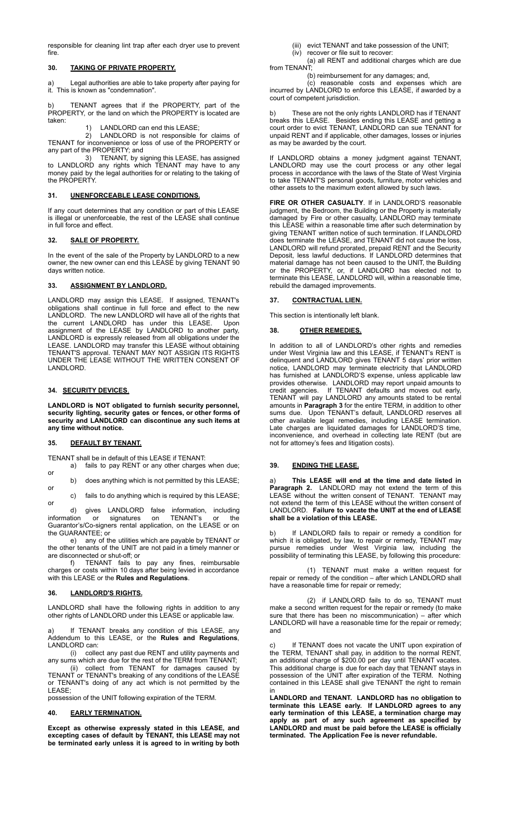responsible for cleaning lint trap after each dryer use to prevent fire.

## **30. TAKING OF PRIVATE PROPERTY.**

a) Legal authorities are able to take property after paying for it. This is known as "condemnation".

b) TENANT agrees that if the PROPERTY, part of the PROPERTY, or the land on which the PROPERTY is located are taken:

## 1) LANDLORD can end this LEASE;

2) LANDLORD is not responsible for claims of TENANT for inconvenience or loss of use of the PROPERTY or any part of the PROPERTY; and

3) TENANT, by signing this LEASE, has assigned to LANDLORD any rights which TENANT may have to any money paid by the legal authorities for or relating to the taking of the PROPERTY.

# **31. UNENFORCEABLE LEASE CONDITIONS.**

If any court determines that any condition or part of this LEASE is illegal or unenforceable, the rest of the LEASE shall continue in full force and effect

## **32. SALE OF PROPERTY.**

In the event of the sale of the Property by LANDLORD to a new owner, the new owner can end this LEASE by giving TENANT 90 days written notice.

# **33. ASSIGNMENT BY LANDLORD.**

LANDLORD may assign this LEASE. If assigned, TENANT's obligations shall continue in full force and effect to the new LANDLORD. The new LANDLORD will have all of the rights that the current LANDLORD has under this LEASE. Upon assignment of the LEASE by LANDLORD to another party, LANDLORD is expressly released from all obligations under the LEASE. LANDLORD may transfer this LEASE without obtaining TENANT'S approval. TENANT MAY NOT ASSIGN ITS RIGHTS UNDER THE LEASE WITHOUT THE WRITTEN CONSENT OF LANDLORD.

# **34. SECURITY DEVICES**.

**LANDLORD is NOT obligated to furnish security personnel, security lighting, security gates or fences, or other forms of security and LANDLORD can discontinue any such items at any time without notice.**

## **35. DEFAULT BY TENANT.**

TENANT shall be in default of this LEASE if TENANT:

a) fails to pay RENT or any other charges when due; or

b) does anything which is not permitted by this LEASE; or

c) fails to do anything which is required by this LEASE; or

d) gives LANDLORD false information, including information or signatures on TENANT's or the Guarantor's/Co-signers rental application, on the LEASE or on the GUARANTEE; or

e) any of the utilities which are payable by TENANT or the other tenants of the UNIT are not paid in a timely manner or are disconnected or shut-off; or

f) TENANT fails to pay any fines, reimbursable charges or costs within 10 days after being levied in accordance with this LEASE or the **Rules and Regulations**.

# **36. LANDLORD'S RIGHTS.**

LANDLORD shall have the following rights in addition to any other rights of LANDLORD under this LEASE or applicable law.

a) If TENANT breaks any condition of this LEASE, any Addendum to this LEASE, or the **Rules and Regulations**, LANDLORD can:

(i) collect any past due RENT and utility payments and any sums which are due for the rest of the TERM from TENANT;

(ii) collect from TENANT for damages caused by TENANT or TENANT's breaking of any conditions of the LEASE or TENANT's doing of any act which is not permitted by the LEASE;

possession of the UNIT following expiration of the TERM.

## **40. EARLY TERMINATION.**

**Except as otherwise expressly stated in this LEASE, and excepting cases of default by TENANT, this LEASE may not be terminated early unless it is agreed to in writing by both**

(iii) evict TENANT and take possession of the UNIT;

(iv) recover or file suit to recover:

(a) all RENT and additional charges which are due from TENANT;

(b) reimbursement for any damages; and,

(c) reasonable costs and expenses which are incurred by LANDLORD to enforce this LEASE, if awarded by a court of competent jurisdiction.

b) These are not the only rights LANDLORD has if TENANT breaks this LEASE. Besides ending this LEASE and getting a court order to evict TENANT, LANDLORD can sue TENANT for unpaid RENT and if applicable, other damages, losses or injuries as may be awarded by the court.

If LANDLORD obtains a money judgment against TENANT, LANDLORD may use the court process or any other legal process in accordance with the laws of the State of West Virginia to take TENANT'S personal goods, furniture, motor vehicles and other assets to the maximum extent allowed by such laws.

**FIRE OR OTHER CASUALTY**. If in LANDLORD'S reasonable judgment, the Bedroom, the Building or the Property is materially damaged by Fire or other casualty, LANDLORD may terminate this LEASE within a reasonable time after such determination by giving TENANT written notice of such termination. If LANDLORD does terminate the LEASE, and TENANT did not cause the loss, LANDLORD will refund prorated, prepaid RENT and the Security Deposit, less lawful deductions. If LANDLORD determines that material damage has not been caused to the UNIT, the Building or the PROPERTY, or, if LANDLORD has elected not to terminate this LEASE, LANDLORD will, within a reasonable time, rebuild the damaged improvements.

### **37. CONTRACTUAL LIEN.**

This section is intentionally left blank.

## **38. OTHER REMEDIES.**

In addition to all of LANDLORD's other rights and remedies under West Virginia law and this LEASE, if TENANT's RENT is delinquent and LANDLORD gives TENANT 5 days' prior written notice, LANDLORD may terminate electricity that LANDLORD has furnished at LANDLORD'S expense, unless applicable law provides otherwise. LANDLORD may report unpaid amounts to credit agencies. If TENANT defaults and moves out early, TENANT will pay LANDLORD any amounts stated to be rental amounts in **Paragraph 3** for the entire TERM, in addition to other sums due. Upon TENANT's default, LANDLORD reserves all other available legal remedies, including LEASE termination. Late charges are liquidated damages for LANDLORD'S time, inconvenience, and overhead in collecting late RENT (but are not for attorney's fees and litigation costs).

## **39. ENDING THE LEASE.**

a) **This LEASE will end at the time and date listed in Paragraph 2.** LANDLORD may not extend the term of this LEASE without the written consent of TENANT. TENANT may not extend the term of this LEASE without the written consent of LANDLORD. **Failure to vacate the UNIT at the end of LEASE shall be a violation of this LEASE.**

If LANDLORD fails to repair or remedy a condition for which it is obligated, by law, to repair or remedy, TENANT may pursue remedies under West Virginia law, including the possibility of terminating this LEASE, by following this procedure:

(1) TENANT must make a written request for repair or remedy of the condition – after which LANDLORD shall have a reasonable time for repair or remedy;

(2) if LANDLORD fails to do so, TENANT must make a second written request for the repair or remedy (to make sure that there has been no miscommunication) - after which LANDLORD will have a reasonable time for the repair or remedy; and

If TENANT does not vacate the UNIT upon expiration of the TERM, TENANT shall pay, in addition to the normal RENT, an additional charge of \$200.00 per day until TENANT vacates. This additional charge is due for each day that TENANT stays in possession of the UNIT after expiration of the TERM. Nothing contained in this LEASE shall give TENANT the right to remain in

**LANDLORD and TENANT. LANDLORD has no obligation to terminate this LEASE early. If LANDLORD agrees to any early termination of this LEASE, a termination charge may apply as part of any such agreement as specified by LANDLORD and must be paid before the LEASE is officially terminated. The Application Fee is never refundable.**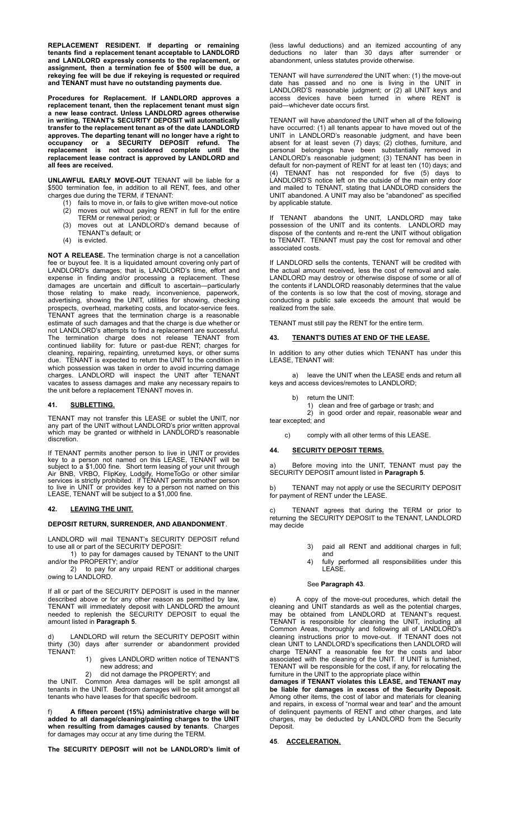**REPLACEMENT RESIDENT. If departing or remaining tenants find a replacement tenant acceptable to LANDLORD and LANDLORD expressly consents to the replacement, or assignment, then a termination fee of \$500 will be due, a rekeying fee will be due if rekeying is requested or required and TENANT must have no outstanding payments due.**

**Procedures for Replacement. If LANDLORD approves a replacement tenant, then the replacement tenant must sign a new lease contract. Unless LANDLORD agrees otherwise in writing, TENANT's SECURITY DEPOSIT will automatically transfer to the replacement tenant as of the date LANDLORD approves. The departing tenant will no longer have a right to occupancy or a SECURITY DEPOSIT refund. The replacement is not considered complete until the replacement lease contract is approved by LANDLORD and all fees are received.**

**UNLAWFUL EARLY MOVE-OUT** TENANT will be liable for a \$500 termination fee, in addition to all RENT, fees, and other charges due during the TERM, if TENANT:

- (1) fails to move in, or fails to give written move-out notice (2) moves out without paying RENT in full for the entire
- TERM or renewal period; or (3) moves out at LANDLORD's demand because of
- TENANT's default; or (4) is evicted.
- 

**NOT A RELEASE.** The termination charge is not a cancellation fee or buyout fee. It is a liquidated amount covering only part of LANDLORD's damages; that is, LANDLORD's time, effort and expense in finding and/or processing a replacement. These damages are uncertain and difficult to ascertain—particularly those relating to make ready, inconvenience, paperwork, advertising, showing the UNIT, utilities for showing, checking prospects, overhead, marketing costs, and locator-service fees. TENANT agrees that the termination charge is a reasonable estimate of such damages and that the charge is due whether or not LANDLORD's attempts to find a replacement are successful. The termination charge does not release TENANT from continued liability for: future or past-due RENT; charges for cleaning, repairing, repainting, unreturned keys, or other sums due. TENANT is expected to return the UNIT to the condition in which possession was taken in order to avoid incurring damage charges. LANDLORD will inspect the UNIT after TENANT vacates to assess damages and make any necessary repairs to the unit before a replacement TENANT moves in.

## **41. SUBLETTING.**

TENANT may not transfer this LEASE or sublet the UNIT, nor any part of the UNIT without LANDLORD's prior written approval which may be granted or withheld in LANDLORD's reasonable discretion.

If TENANT permits another person to live in UNIT or provides key to a person not named on this LEASE, TENANT will be subject to a \$1,000 fine. Short term leasing of your unit through Air BNB, VRBO, FlipKey, Lodgify, HomeToGo or other similar services is strictly prohibited. If TENANT permits another person to live in UNIT or provides key to a person not named on this LEASE, TENANT will be subject to a \$1,000 fine.

## **42. LEAVING THE UNIT.**

## **DEPOSIT RETURN, SURRENDER, AND ABANDONMENT**.

LANDLORD will mail TENANT's SECURITY DEPOSIT refund to use all or part of the SECURITY DEPOSIT:

1) to pay for damages caused by TENANT to the UNIT and/or the PROPERTY; and/or

2) to pay for any unpaid RENT or additional charges owing to LANDLORD.

If all or part of the SECURITY DEPOSIT is used in the manner described above or for any other reason as permitted by law, TENANT will immediately deposit with LANDLORD the amount needed to replenish the SECURITY DEPOSIT to equal the amount listed in **Paragraph 5**.

d) LANDLORD will return the SECURITY DEPOSIT within thirty (30) days after surrender or abandonment provided TENANT:

- 1) gives LANDLORD written notice of TENANT'S new address; and
	- did not damage the PROPERTY; and

the UNIT. Common Area damages will be split amongst all tenants in the UNIT. Bedroom damages will be split amongst all tenants who have leases for that specific bedroom.

f) **A fifteen percent (15%) administrative charge will be added to all damage/cleaning/painting charges to the UNIT when resulting from damages caused by tenants**. Charges for damages may occur at any time during the TERM.

**The SECURITY DEPOSIT will not be LANDLORD's limit of**

(less lawful deductions) and an itemized accounting of any deductions no later than 30 days after surrender or abandonment, unless statutes provide otherwise.

TENANT will have *surrendered* the UNIT when: (1) the move-out date has passed and no one is living in the UNIT in LANDLORD'S reasonable judgment; or (2) all UNIT keys and access devices have been turned in where RENT is paid—whichever date occurs first.

TENANT will have *abandoned* the UNIT when all of the following have occurred: (1) all tenants appear to have moved out of the UNIT in LANDLORD's reasonable judgment, and have been absent for at least seven (7) days; (2) clothes, furniture, and personal belongings have been substantially removed in LANDLORD's reasonable judgment; (3) TENANT has been in default for non-payment of RENT for at least ten (10) days; and (4) TENANT has not responded for five (5) days to LANDLORD'S notice left on the outside of the main entry door and mailed to TENANT, stating that LANDLORD considers the UNIT abandoned. A UNIT may also be "abandoned" as specified by applicable statute.

If TENANT abandons the UNIT, LANDLORD may take possession of the UNIT and its contents. LANDLORD may dispose of the contents and re-rent the UNIT without obligation to TENANT. TENANT must pay the cost for removal and other associated costs.

If LANDLORD sells the contents, TENANT will be credited with the actual amount received, less the cost of removal and sale. LANDLORD may destroy or otherwise dispose of some or all of the contents if LANDLORD reasonably determines that the value of the contents is so low that the cost of moving, storage and conducting a public sale exceeds the amount that would be realized from the sale.

TENANT must still pay the RENT for the entire term.

## **43. TENANT'S DUTIES AT END OF THE LEASE.**

In addition to any other duties which TENANT has under this LEASE, TENANT will:

a) leave the UNIT when the LEASE ends and return all keys and access devices/remotes to LANDLORD;

- b) return the UNIT:
	- 1) clean and free of garbage or trash; and

2) in good order and repair, reasonable wear and tear excepted; and

c) comply with all other terms of this LEASE.

# **44. SECURITY DEPOSIT TERMS.**

a) Before moving into the UNIT, TENANT must pay the SECURITY DEPOSIT amount listed in **Paragraph 5**.

b) TENANT may not apply or use the SECURITY DEPOSIT for payment of RENT under the LEASE.

c) TENANT agrees that during the TERM or prior to returning the SECURITY DEPOSIT to the TENANT, LANDLORD may decide

- 3) paid all RENT and additional charges in full; and
- 4) fully performed all responsibilities under this LEASE.

# See **Paragraph 43**.

e) A copy of the move-out procedures, which detail the cleaning and UNIT standards as well as the potential charges, may be obtained from LANDLORD at TENANT's request. TENANT is responsible for cleaning the UNIT, including all Common Areas, thoroughly and following all of LANDLORD's cleaning instructions prior to move-out. If TENANT does not clean UNIT to LANDLORD's specifications then LANDLORD will charge TENANT a reasonable fee for the costs and labor associated with the cleaning of the UNIT. If UNIT is furnished, TENANT will be responsible for the cost, if any, for relocating the furniture in the UNIT to the appropriate place within

**damages if TENANT violates this LEASE, and TENANT may be liable for damages in excess of the Security Deposit.** Among other items, the cost of labor and materials for cleaning and repairs, in excess of "normal wear and tear" and the amount of delinquent payments of RENT and other charges, and late charges, may be deducted by LANDLORD from the Security Deposit.

# **45**. **ACCELERATION.**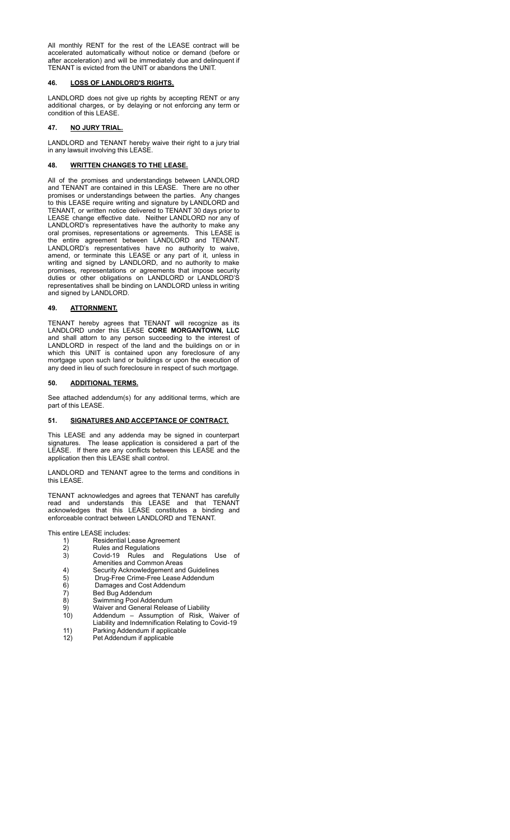All monthly RENT for the rest of the LEASE contract will be accelerated automatically without notice or demand (before or after acceleration) and will be immediately due and delinquent if TENANT is evicted from the UNIT or abandons the UNIT.

# **46. LOSS OF LANDLORD'S RIGHTS.**

LANDLORD does not give up rights by accepting RENT or any additional charges, or by delaying or not enforcing any term or condition of this LEASE.

# **47. NO JURY TRIAL.**

LANDLORD and TENANT hereby waive their right to a jury trial in any lawsuit involving this LEASE.

# **48. WRITTEN CHANGES TO THE LEASE.**

All of the promises and understandings between LANDLORD and TENANT are contained in this LEASE. There are no other promises or understandings between the parties. Any changes to this LEASE require writing and signature by LANDLORD and TENANT, or written notice delivered to TENANT 30 days prior to LEASE change effective date. Neither LANDLORD nor any of LANDLORD's representatives have the authority to make any oral promises, representations or agreements. This LEASE is the entire agreement between LANDLORD and TENANT. LANDLORD's representatives have no authority to waive, amend, or terminate this LEASE or any part of it, unless in writing and signed by LANDLORD, and no authority to make promises, representations or agreements that impose security duties or other obligations on LANDLORD or LANDLORD'S representatives shall be binding on LANDLORD unless in writing and signed by LANDLORD.

## **49. ATTORNMENT.**

TENANT hereby agrees that TENANT will recognize as its LANDLORD under this LEASE **CORE MORGANTOWN, LLC** and shall attorn to any person succeeding to the interest of LANDLORD in respect of the land and the buildings on or in which this UNIT is contained upon any foreclosure of any mortgage upon such land or buildings or upon the execution of any deed in lieu of such foreclosure in respect of such mortgage.

## **50. ADDITIONAL TERMS.**

See attached addendum(s) for any additional terms, which are part of this LEASE.

## **51. SIGNATURES AND ACCEPTANCE OF CONTRACT.**

This LEASE and any addenda may be signed in counterpart signatures. The lease application is considered a part of the LEASE. If there are any conflicts between this LEASE and the application then this LEASE shall control.

LANDLORD and TENANT agree to the terms and conditions in this LEASE.

TENANT acknowledges and agrees that TENANT has carefully read and understands this LEASE and that TENANT acknowledges that this LEASE constitutes a binding and enforceable contract between LANDLORD and TENANT.

This entire LEASE includes:

- 1) Residential Lease Agreement<br>2) Rules and Regulations
- Rules and Regulations
- 3) Covid-19 Rules and Regulations Use of Amenities and Common Areas
- 4) Security Acknowledgement and Guidelines<br>5) Drug-Free Crime-Free Lease Addendum
- 5) Drug-Free Crime-Free Lease Addendum<br>6) Damages and Cost Addendum
- 6) Damages and Cost Addendum<br>
7) Bed Bug Addendum
- 7) Bed Bug Addendum<br>8) Swimming Pool Adde
- 8) Swimming Pool Addendum
- 9) Waiver and General Release of Liability 10) Addendum – Assumption of Risk, Waiver of
- Liability and Indemnification Relating to Covid-19 11) Parking Addendum if applicable<br>12) Pet Addendum if applicable
- Pet Addendum if applicable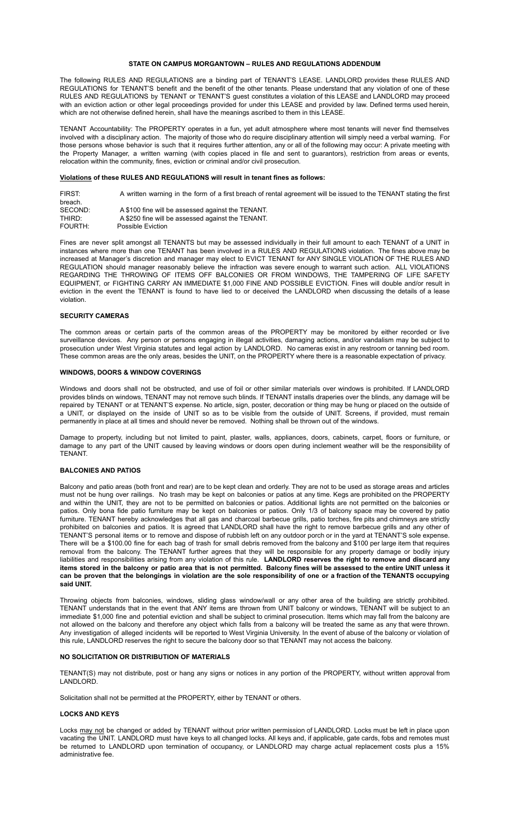## **STATE ON CAMPUS MORGANTOWN – RULES AND REGULATIONS ADDENDUM**

The following RULES AND REGULATIONS are a binding part of TENANT'S LEASE. LANDLORD provides these RULES AND REGULATIONS for TENANT'S benefit and the benefit of the other tenants. Please understand that any violation of one of these RULES AND REGULATIONS by TENANT or TENANT'S guest constitutes a violation of this LEASE and LANDLORD may proceed with an eviction action or other legal proceedings provided for under this LEASE and provided by law. Defined terms used herein, which are not otherwise defined herein, shall have the meanings ascribed to them in this LEASE.

TENANT Accountability: The PROPERTY operates in a fun, yet adult atmosphere where most tenants will never find themselves involved with a disciplinary action. The majority of those who do require disciplinary attention will simply need a verbal warning. For those persons whose behavior is such that it requires further attention, any or all of the following may occur: A private meeting with the Property Manager, a written warning (with copies placed in file and sent to guarantors), restriction from areas or events, relocation within the community, fines, eviction or criminal and/or civil prosecution.

# **Violations of these RULES AND REGULATIONS will result in tenant fines as follows:**

| FIRST:  | A written warning in the form of a first breach of rental agreement will be issued to the TENANT stating the first |
|---------|--------------------------------------------------------------------------------------------------------------------|
| breach. |                                                                                                                    |
| SECOND: | A \$100 fine will be assessed against the TENANT.                                                                  |
| THIRD:  | A \$250 fine will be assessed against the TENANT.                                                                  |
| FOURTH: | Possible Eviction                                                                                                  |

Fines are never split amongst all TENANTS but may be assessed individually in their full amount to each TENANT of a UNIT in instances where more than one TENANT has been involved in a RULES AND REGULATIONS violation. The fines above may be increased at Manager's discretion and manager may elect to EVICT TENANT for ANY SINGLE VIOLATION OF THE RULES AND REGULATION should manager reasonably believe the infraction was severe enough to warrant such action. ALL VIOLATIONS REGARDING THE THROWING OF ITEMS OFF BALCONIES OR FROM WINDOWS, THE TAMPERING OF LIFE SAFETY EQUIPMENT, or FIGHTING CARRY AN IMMEDIATE \$1,000 FINE AND POSSIBLE EVICTION. Fines will double and/or result in eviction in the event the TENANT is found to have lied to or deceived the LANDLORD when discussing the details of a lease violation.

## **SECURITY CAMERAS**

The common areas or certain parts of the common areas of the PROPERTY may be monitored by either recorded or live surveillance devices. Any person or persons engaging in illegal activities, damaging actions, and/or vandalism may be subject to prosecution under West Virginia statutes and legal action by LANDLORD. No cameras exist in any restroom or tanning bed room. These common areas are the only areas, besides the UNIT, on the PROPERTY where there is a reasonable expectation of privacy.

# **WINDOWS, DOORS & WINDOW COVERINGS**

Windows and doors shall not be obstructed, and use of foil or other similar materials over windows is prohibited. If LANDLORD provides blinds on windows, TENANT may not remove such blinds. If TENANT installs draperies over the blinds, any damage will be repaired by TENANT or at TENANT'S expense. No article, sign, poster, decoration or thing may be hung or placed on the outside of a UNIT, or displayed on the inside of UNIT so as to be visible from the outside of UNIT. Screens, if provided, must remain permanently in place at all times and should never be removed. Nothing shall be thrown out of the windows.

Damage to property, including but not limited to paint, plaster, walls, appliances, doors, cabinets, carpet, floors or furniture, or damage to any part of the UNIT caused by leaving windows or doors open during inclement weather will be the responsibility of TENANT.

## **BALCONIES AND PATIOS**

Balcony and patio areas (both front and rear) are to be kept clean and orderly. They are not to be used as storage areas and articles must not be hung over railings. No trash may be kept on balconies or patios at any time. Kegs are prohibited on the PROPERTY and within the UNIT, they are not to be permitted on balconies or patios. Additional lights are not permitted on the balconies or patios. Only bona fide patio furniture may be kept on balconies or patios. Only 1/3 of balcony space may be covered by patio furniture. TENANT hereby acknowledges that all gas and charcoal barbecue grills, patio torches, fire pits and chimneys are strictly prohibited on balconies and patios. It is agreed that LANDLORD shall have the right to remove barbecue grills and any other of TENANT'S personal items or to remove and dispose of rubbish left on any outdoor porch or in the yard at TENANT'S sole expense. There will be a \$100.00 fine for each bag of trash for small debris removed from the balcony and \$100 per large item that requires removal from the balcony. The TENANT further agrees that they will be responsible for any property damage or bodily injury liabilities and responsibilities arising from any violation of this rule. **LANDLORD reserves the right to remove and discard any** items stored in the balcony or patio area that is not permitted. Balcony fines will be assessed to the entire UNIT unless it can be proven that the belongings in violation are the sole responsibility of one or a fraction of the TENANTS occupying **said UNIT.**

Throwing objects from balconies, windows, sliding glass window/wall or any other area of the building are strictly prohibited. TENANT understands that in the event that ANY items are thrown from UNIT balcony or windows, TENANT will be subject to an immediate \$1,000 fine and potential eviction and shall be subject to criminal prosecution. Items which may fall from the balcony are not allowed on the balcony and therefore any object which falls from a balcony will be treated the same as any that were thrown. Any investigation of alleged incidents will be reported to West Virginia University. In the event of abuse of the balcony or violation of this rule, LANDLORD reserves the right to secure the balcony door so that TENANT may not access the balcony.

# **NO SOLICITATION OR DISTRIBUTION OF MATERIALS**

TENANT(S) may not distribute, post or hang any signs or notices in any portion of the PROPERTY, without written approval from LANDLORD.

Solicitation shall not be permitted at the PROPERTY, either by TENANT or others.

# **LOCKS AND KEYS**

Locks may not be changed or added by TENANT without prior written permission of LANDLORD. Locks must be left in place upon vacating the UNIT. LANDLORD must have keys to all changed locks. All keys and, if applicable, gate cards, fobs and remotes must be returned to LANDLORD upon termination of occupancy, or LANDLORD may charge actual replacement costs plus a 15% administrative fee.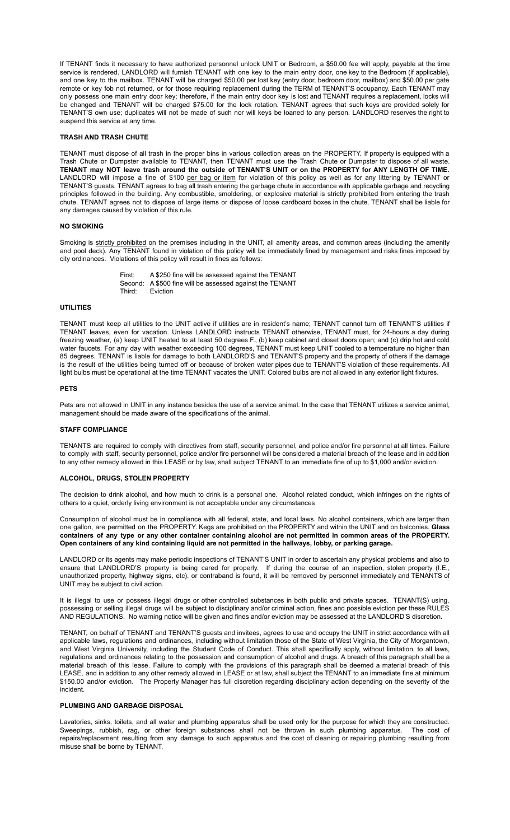If TENANT finds it necessary to have authorized personnel unlock UNIT or Bedroom, a \$50.00 fee will apply, payable at the time service is rendered. LANDLORD will furnish TENANT with one key to the main entry door, one key to the Bedroom (if applicable), and one key to the mailbox. TENANT will be charged \$50.00 per lost key (entry door, bedroom door, mailbox) and \$50.00 per gate remote or key fob not returned, or for those requiring replacement during the TERM of TENANT'S occupancy. Each TENANT may only possess one main entry door key; therefore, if the main entry door key is lost and TENANT requires a replacement, locks will be changed and TENANT will be charged \$75.00 for the lock rotation. TENANT agrees that such keys are provided solely for TENANT'S own use; duplicates will not be made of such nor will keys be loaned to any person. LANDLORD reserves the right to suspend this service at any time.

## **TRASH AND TRASH CHUTE**

TENANT must dispose of all trash in the proper bins in various collection areas on the PROPERTY. If property is equipped with a Trash Chute or Dumpster available to TENANT, then TENANT must use the Trash Chute or Dumpster to dispose of all waste. TENANT may NOT leave trash around the outside of TENANT'S UNIT or on the PROPERTY for ANY LENGTH OF TIME. LANDLORD will impose a fine of \$100 per bag or item for violation of this policy as well as for any littering by TENANT or TENANT'S guests. TENANT agrees to bag all trash entering the garbage chute in accordance with applicable garbage and recycling principles followed in the building. Any combustible, smoldering, or explosive material is strictly prohibited from entering the trash chute. TENANT agrees not to dispose of large items or dispose of loose cardboard boxes in the chute. TENANT shall be liable for any damages caused by violation of this rule.

## **NO SMOKING**

Smoking is strictly prohibited on the premises including in the UNIT, all amenity areas, and common areas (including the amenity and pool deck). Any TENANT found in violation of this policy will be immediately fined by management and risks fines imposed by city ordinances. Violations of this policy will result in fines as follows:

> First: A \$250 fine will be assessed against the TENANT Second: A \$500 fine will be assessed against the TENANT<br>Third: Eviction Eviction

## **UTILITIES**

TENANT must keep all utilities to the UNIT active if utilities are in resident's name; TENANT cannot turn off TENANT'S utilities if TENANT leaves, even for vacation. Unless LANDLORD instructs TENANT otherwise, TENANT must, for 24-hours a day during freezing weather, (a) keep UNIT heated to at least 50 degrees F., (b) keep cabinet and closet doors open; and (c) drip hot and cold water faucets. For any day with weather exceeding 100 degrees, TENANT must keep UNIT cooled to a temperature no higher than 85 degrees. TENANT is liable for damage to both LANDLORD'S and TENANT'S property and the property of others if the damage is the result of the utilities being turned off or because of broken water pipes due to TENANT'S violation of these requirements. All light bulbs must be operational at the time TENANT vacates the UNIT. Colored bulbs are not allowed in any exterior light fixtures.

## **PETS**

Pets are not allowed in UNIT in any instance besides the use of a service animal. In the case that TENANT utilizes a service animal, management should be made aware of the specifications of the animal.

## **STAFF COMPLIANCE**

TENANTS are required to comply with directives from staff, security personnel, and police and/or fire personnel at all times. Failure to comply with staff, security personnel, police and/or fire personnel will be considered a material breach of the lease and in addition to any other remedy allowed in this LEASE or by law, shall subject TENANT to an immediate fine of up to \$1,000 and/or eviction.

### **ALCOHOL, DRUGS, STOLEN PROPERTY**

The decision to drink alcohol, and how much to drink is a personal one. Alcohol related conduct, which infringes on the rights of others to a quiet, orderly living environment is not acceptable under any circumstances

Consumption of alcohol must be in compliance with all federal, state, and local laws. No alcohol containers, which are larger than one gallon, are permitted on the PROPERTY. Kegs are prohibited on the PROPERTY and within the UNIT and on balconies. **Glass** containers of any type or any other container containing alcohol are not permitted in common areas of the PROPERTY. Open containers of any kind containing liquid are not permitted in the hallways, lobby, or parking garage.

LANDLORD or its agents may make periodic inspections of TENANT'S UNIT in order to ascertain any physical problems and also to ensure that LANDLORD'S property is being cared for properly. If during the course of an inspection, stolen property (I.E., unauthorized property, highway signs, etc). or contraband is found, it will be removed by personnel immediately and TENANTS of UNIT may be subject to civil action.

It is illegal to use or possess illegal drugs or other controlled substances in both public and private spaces. TENANT(S) using, possessing or selling illegal drugs will be subject to disciplinary and/or criminal action, fines and possible eviction per these RULES AND REGULATIONS. No warning notice will be given and fines and/or eviction may be assessed at the LANDLORD'S discretion.

TENANT, on behalf of TENANT and TENANT'S guests and invitees, agrees to use and occupy the UNIT in strict accordance with all applicable laws, regulations and ordinances, including without limitation those of the State of West Virginia, the City of Morgantown, and West Virginia University, including the Student Code of Conduct. This shall specifically apply, without limitation, to all laws, regulations and ordinances relating to the possession and consumption of alcohol and drugs. A breach of this paragraph shall be a material breach of this lease. Failure to comply with the provisions of this paragraph shall be deemed a material breach of this LEASE, and in addition to any other remedy allowed in LEASE or at law, shall subject the TENANT to an immediate fine at minimum \$150.00 and/or eviction. The Property Manager has full discretion regarding disciplinary action depending on the severity of the incident.

# **PLUMBING AND GARBAGE DISPOSAL**

Lavatories, sinks, toilets, and all water and plumbing apparatus shall be used only for the purpose for which they are constructed. Sweepings, rubbish, rag, or other foreign substances shall not be thrown in such plumbing apparatus. The cost of repairs/replacement resulting from any damage to such apparatus and the cost of cleaning or repairing plumbing resulting from misuse shall be borne by TENANT.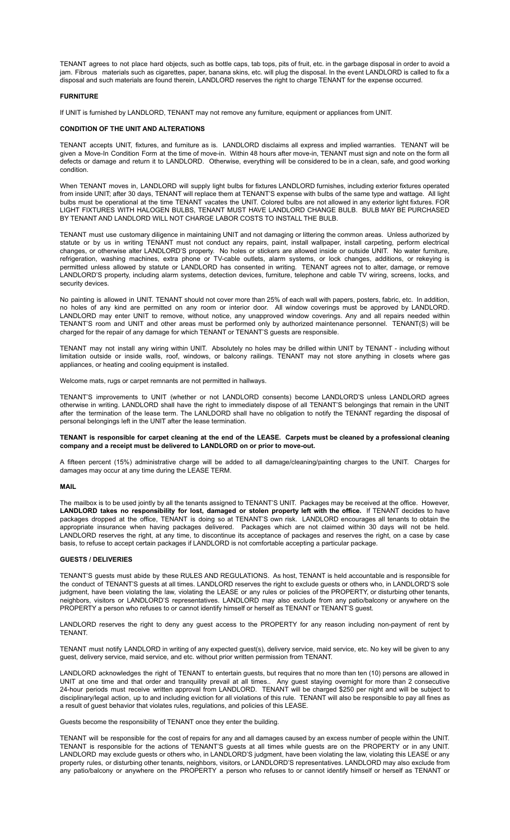TENANT agrees to not place hard objects, such as bottle caps, tab tops, pits of fruit, etc. in the garbage disposal in order to avoid a jam. Fibrous materials such as cigarettes, paper, banana skins, etc. will plug the disposal. In the event LANDLORD is called to fix a disposal and such materials are found therein, LANDLORD reserves the right to charge TENANT for the expense occurred.

# **FURNITURE**

If UNIT is furnished by LANDLORD, TENANT may not remove any furniture, equipment or appliances from UNIT.

## **CONDITION OF THE UNIT AND ALTERATIONS**

TENANT accepts UNIT, fixtures, and furniture as is. LANDLORD disclaims all express and implied warranties. TENANT will be given a Move-In Condition Form at the time of move-in. Within 48 hours after move-in, TENANT must sign and note on the form all defects or damage and return it to LANDLORD. Otherwise, everything will be considered to be in a clean, safe, and good working condition.

When TENANT moves in, LANDLORD will supply light bulbs for fixtures LANDLORD furnishes, including exterior fixtures operated from inside UNIT; after 30 days, TENANT will replace them at TENANT'S expense with bulbs of the same type and wattage. All light bulbs must be operational at the time TENANT vacates the UNIT. Colored bulbs are not allowed in any exterior light fixtures. FOR LIGHT FIXTURES WITH HALOGEN BULBS, TENANT MUST HAVE LANDLORD CHANGE BULB. BULB MAY BE PURCHASED BY TENANT AND LANDLORD WILL NOT CHARGE LABOR COSTS TO INSTALL THE BULB.

TENANT must use customary diligence in maintaining UNIT and not damaging or littering the common areas. Unless authorized by statute or by us in writing TENANT must not conduct any repairs, paint, install wallpaper, install carpeting, perform electrical changes, or otherwise alter LANDLORD'S property. No holes or stickers are allowed inside or outside UNIT. No water furniture, refrigeration, washing machines, extra phone or TV-cable outlets, alarm systems, or lock changes, additions, or rekeying is permitted unless allowed by statute or LANDLORD has consented in writing. TENANT agrees not to alter, damage, or remove LANDLORD'S property, including alarm systems, detection devices, furniture, telephone and cable TV wiring, screens, locks, and security devices.

No painting is allowed in UNIT. TENANT should not cover more than 25% of each wall with papers, posters, fabric, etc. In addition, no holes of any kind are permitted on any room or interior door. All window coverings must be approved by LANDLORD. LANDLORD may enter UNIT to remove, without notice, any unapproved window coverings. Any and all repairs needed within TENANT'S room and UNIT and other areas must be performed only by authorized maintenance personnel. TENANT(S) will be charged for the repair of any damage for which TENANT or TENANT'S guests are responsible.

TENANT may not install any wiring within UNIT. Absolutely no holes may be drilled within UNIT by TENANT - including without limitation outside or inside walls, roof, windows, or balcony railings. TENANT may not store anything in closets where gas appliances, or heating and cooling equipment is installed.

Welcome mats, rugs or carpet remnants are not permitted in hallways.

TENANT'S improvements to UNIT (whether or not LANDLORD consents) become LANDLORD'S unless LANDLORD agrees otherwise in writing. LANDLORD shall have the right to immediately dispose of all TENANT'S belongings that remain in the UNIT after the termination of the lease term. The LANLDORD shall have no obligation to notify the TENANT regarding the disposal of personal belongings left in the UNIT after the lease termination.

## TENANT is responsible for carpet cleaning at the end of the LEASE. Carpets must be cleaned by a professional cleaning **company and a receipt must be delivered to LANDLORD on or prior to move-out.**

A fifteen percent (15%) administrative charge will be added to all damage/cleaning/painting charges to the UNIT. Charges for damages may occur at any time during the LEASE TERM.

## **MAIL**

The mailbox is to be used jointly by all the tenants assigned to TENANT'S UNIT. Packages may be received at the office. However, **LANDLORD takes no responsibility for lost, damaged or stolen property left with the office.** If TENANT decides to have packages dropped at the office, TENANT is doing so at TENANT'S own risk. LANDLORD encourages all tenants to obtain the appropriate insurance when having packages delivered. Packages which are not claimed within 30 days will not be held. LANDLORD reserves the right, at any time, to discontinue its acceptance of packages and reserves the right, on a case by case basis, to refuse to accept certain packages if LANDLORD is not comfortable accepting a particular package.

## **GUESTS / DELIVERIES**

TENANT'S guests must abide by these RULES AND REGULATIONS. As host, TENANT is held accountable and is responsible for the conduct of TENANT'S guests at all times. LANDLORD reserves the right to exclude guests or others who, in LANDLORD'S sole judgment, have been violating the law, violating the LEASE or any rules or policies of the PROPERTY, or disturbing other tenants, neighbors, visitors or LANDLORD'S representatives. LANDLORD may also exclude from any patio/balcony or anywhere on the PROPERTY a person who refuses to or cannot identify himself or herself as TENANT or TENANT'S guest.

LANDLORD reserves the right to deny any guest access to the PROPERTY for any reason including non-payment of rent by TENANT.

TENANT must notify LANDLORD in writing of any expected guest(s), delivery service, maid service, etc. No key will be given to any guest, delivery service, maid service, and etc. without prior written permission from TENANT.

LANDLORD acknowledges the right of TENANT to entertain guests, but requires that no more than ten (10) persons are allowed in UNIT at one time and that order and tranquility prevail at all times.. Any guest staying overnight for more than 2 consecutive 24-hour periods must receive written approval from LANDLORD. TENANT will be charged \$250 per night and will be subject to disciplinary/legal action, up to and including eviction for all violations of this rule. TENANT will also be responsible to pay all fines as a result of guest behavior that violates rules, regulations, and policies of this LEASE.

Guests become the responsibility of TENANT once they enter the building.

TENANT will be responsible for the cost of repairs for any and all damages caused by an excess number of people within the UNIT. TENANT is responsible for the actions of TENANT'S guests at all times while guests are on the PROPERTY or in any UNIT. LANDLORD may exclude guests or others who, in LANDLORD'S judgment, have been violating the law, violating this LEASE or any property rules, or disturbing other tenants, neighbors, visitors, or LANDLORD'S representatives. LANDLORD may also exclude from any patio/balcony or anywhere on the PROPERTY a person who refuses to or cannot identify himself or herself as TENANT or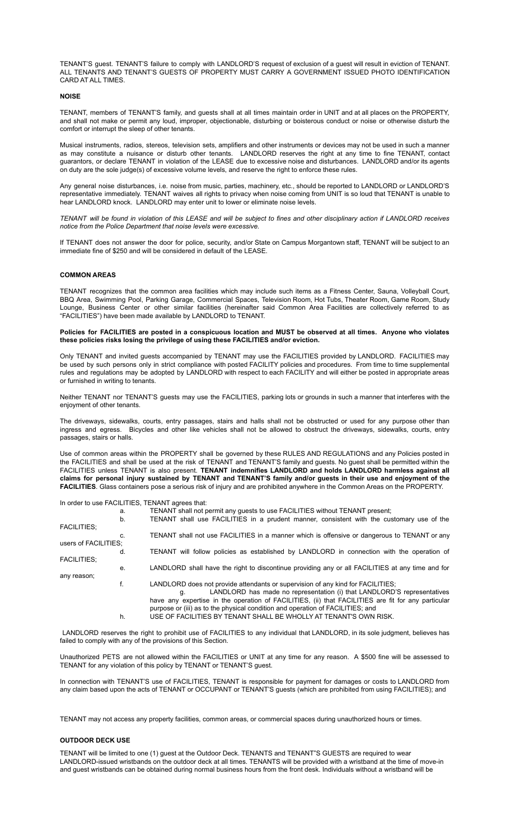TENANT'S guest. TENANT'S failure to comply with LANDLORD'S request of exclusion of a guest will result in eviction of TENANT. ALL TENANTS AND TENANT'S GUESTS OF PROPERTY MUST CARRY A GOVERNMENT ISSUED PHOTO IDENTIFICATION CARD AT ALL TIMES.

## **NOISE**

TENANT, members of TENANT'S family, and guests shall at all times maintain order in UNIT and at all places on the PROPERTY, and shall not make or permit any loud, improper, objectionable, disturbing or boisterous conduct or noise or otherwise disturb the comfort or interrupt the sleep of other tenants.

Musical instruments, radios, stereos, television sets, amplifiers and other instruments or devices may not be used in such a manner as may constitute a nuisance or disturb other tenants. LANDLORD reserves the right at any time to fine TENANT, contact guarantors, or declare TENANT in violation of the LEASE due to excessive noise and disturbances. LANDLORD and/or its agents on duty are the sole judge(s) of excessive volume levels, and reserve the right to enforce these rules.

Any general noise disturbances, i.e. noise from music, parties, machinery, etc., should be reported to LANDLORD or LANDLORD'S representative immediately. TENANT waives all rights to privacy when noise coming from UNIT is so loud that TENANT is unable to hear LANDLORD knock. LANDLORD may enter unit to lower or eliminate noise levels.

TENANT will be found in violation of this LEASE and will be subject to fines and other disciplinary action if LANDLORD receives *notice from the Police Department that noise levels were excessive.*

If TENANT does not answer the door for police, security, and/or State on Campus Morgantown staff, TENANT will be subject to an immediate fine of \$250 and will be considered in default of the LEASE.

# **COMMON AREAS**

TENANT recognizes that the common area facilities which may include such items as a Fitness Center, Sauna, Volleyball Court, BBQ Area, Swimming Pool, Parking Garage, Commercial Spaces, Television Room, Hot Tubs, Theater Room, Game Room, Study Lounge, Business Center or other similar facilities (hereinafter said Common Area Facilities are collectively referred to as "FACILITIES") have been made available by LANDLORD to TENANT.

Policies for FACILITIES are posted in a conspicuous location and MUST be observed at all times. Anyone who violates **these policies risks losing the privilege of using these FACILITIES and/or eviction.**

Only TENANT and invited guests accompanied by TENANT may use the FACILITIES provided by LANDLORD. FACILITIES may be used by such persons only in strict compliance with posted FACILITY policies and procedures. From time to time supplemental rules and regulations may be adopted by LANDLORD with respect to each FACILITY and will either be posted in appropriate areas or furnished in writing to tenants.

Neither TENANT nor TENANT'S guests may use the FACILITIES, parking lots or grounds in such a manner that interferes with the enjoyment of other tenants.

The driveways, sidewalks, courts, entry passages, stairs and halls shall not be obstructed or used for any purpose other than ingress and egress. Bicycles and other like vehicles shall not be allowed to obstruct the driveways, sidewalks, courts, entry passages, stairs or halls.

Use of common areas within the PROPERTY shall be governed by these RULES AND REGULATIONS and any Policies posted in the FACILITIES and shall be used at the risk of TENANT and TENANT'S family and guests. No guest shall be permitted within the FACILITIES unless TENANT is also present. **TENANT indemnifies LANDLORD and holds LANDLORD harmless against all** claims for personal injury sustained by TENANT and TENANT'S family and/or guests in their use and enjoyment of the **FACILITIES**. Glass containers pose a serious risk of injury and are prohibited anywhere in the Common Areas on the PROPERTY.

In order to use FACILITIES, TENANT agrees that:

|                      |    | <u>III UIUCI IU USC I AUILITILU, TLIVAIVT AUICCS IIIAI.</u>                                        |
|----------------------|----|----------------------------------------------------------------------------------------------------|
|                      | а. | TENANT shall not permit any quests to use FACILITIES without TENANT present;                       |
|                      | b. | TENANT shall use FACILITIES in a prudent manner, consistent with the customary use of the          |
| <b>FACILITIES:</b>   |    |                                                                                                    |
|                      | C. | TENANT shall not use FACILITIES in a manner which is offensive or dangerous to TENANT or any       |
| users of FACILITIES: |    |                                                                                                    |
|                      | d. | TENANT will follow policies as established by LANDLORD in connection with the operation of         |
| <b>FACILITIES:</b>   |    |                                                                                                    |
|                      | е. | LANDLORD shall have the right to discontinue providing any or all FACILITIES at any time and for   |
| any reason;          |    |                                                                                                    |
|                      | f. | LANDLORD does not provide attendants or supervision of any kind for FACILITIES;                    |
|                      |    | LANDLORD has made no representation (i) that LANDLORD'S representatives<br>а.                      |
|                      |    | have any expertise in the operation of FACILITIES, (ii) that FACILITIES are fit for any particular |
|                      |    | purpose or (iii) as to the physical condition and operation of FACILITIES; and                     |
|                      | h. | USE OF FACILITIES BY TENANT SHALL BE WHOLLY AT TENANT'S OWN RISK.                                  |
|                      |    |                                                                                                    |

LANDLORD reserves the right to prohibit use of FACILITIES to any individual that LANDLORD, in its sole judgment, believes has failed to comply with any of the provisions of this Section.

Unauthorized PETS are not allowed within the FACILITIES or UNIT at any time for any reason. A \$500 fine will be assessed to TENANT for any violation of this policy by TENANT or TENANT'S guest.

In connection with TENANT'S use of FACILITIES, TENANT is responsible for payment for damages or costs to LANDLORD from any claim based upon the acts of TENANT or OCCUPANT or TENANT'S guests (which are prohibited from using FACILITIES); and

TENANT may not access any property facilities, common areas, or commercial spaces during unauthorized hours or times.

## **OUTDOOR DECK USE**

TENANT will be limited to one (1) guest at the Outdoor Deck. TENANTS and TENANT"S GUESTS are required to wear LANDLORD-issued wristbands on the outdoor deck at all times. TENANTS will be provided with a wristband at the time of move-in and guest wristbands can be obtained during normal business hours from the front desk. Individuals without a wristband will be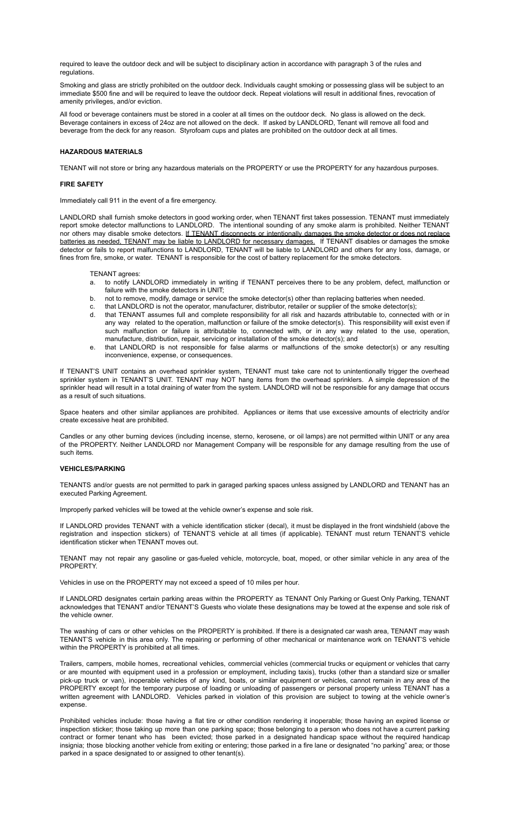required to leave the outdoor deck and will be subject to disciplinary action in accordance with paragraph 3 of the rules and regulations.

Smoking and glass are strictly prohibited on the outdoor deck. Individuals caught smoking or possessing glass will be subject to an immediate \$500 fine and will be required to leave the outdoor deck. Repeat violations will result in additional fines, revocation of amenity privileges, and/or eviction.

All food or beverage containers must be stored in a cooler at all times on the outdoor deck. No glass is allowed on the deck. Beverage containers in excess of 24oz are not allowed on the deck. If asked by LANDLORD, Tenant will remove all food and beverage from the deck for any reason. Styrofoam cups and plates are prohibited on the outdoor deck at all times.

## **HAZARDOUS MATERIALS**

TENANT will not store or bring any hazardous materials on the PROPERTY or use the PROPERTY for any hazardous purposes.

## **FIRE SAFETY**

Immediately call 911 in the event of a fire emergency.

LANDLORD shall furnish smoke detectors in good working order, when TENANT first takes possession. TENANT must immediately report smoke detector malfunctions to LANDLORD. The intentional sounding of any smoke alarm is prohibited. Neither TENANT nor others may disable smoke detectors. If TENANT disconnects or intentionally damages the smoke detector or does not replace batteries as needed, TENANT may be liable to LANDLORD for necessary damages. If TENANT disables or damages the smoke detector or fails to report malfunctions to LANDLORD, TENANT will be liable to LANDLORD and others for any loss, damage, or fines from fire, smoke, or water. TENANT is responsible for the cost of battery replacement for the smoke detectors.

TENANT agrees:

- a. to notify LANDLORD immediately in writing if TENANT perceives there to be any problem, defect, malfunction or failure with the smoke detectors in UNIT;
- b. not to remove, modify, damage or service the smoke detector(s) other than replacing batteries when needed.
- c. that LANDLORD is not the operator, manufacturer, distributor, retailer or supplier of the smoke detector(s);<br>d that TENANT assumes full and complete responsibility for all risk and hazards attributable to connected
- that TENANT assumes full and complete responsibility for all risk and hazards attributable to, connected with or in any way related to the operation, malfunction or failure of the smoke detector(s). This responsibility will exist even if such malfunction or failure is attributable to, connected with, or in any way related to the use, operation, manufacture, distribution, repair, servicing or installation of the smoke detector(s); and
- e. that LANDLORD is not responsible for false alarms or malfunctions of the smoke detector(s) or any resulting inconvenience, expense, or consequences.

If TENANT'S UNIT contains an overhead sprinkler system, TENANT must take care not to unintentionally trigger the overhead sprinkler system in TENANT'S UNIT. TENANT may NOT hang items from the overhead sprinklers. A simple depression of the sprinkler head will result in a total draining of water from the system. LANDLORD will not be responsible for any damage that occurs as a result of such situations.

Space heaters and other similar appliances are prohibited. Appliances or items that use excessive amounts of electricity and/or create excessive heat are prohibited.

Candles or any other burning devices (including incense, sterno, kerosene, or oil lamps) are not permitted within UNIT or any area of the PROPERTY. Neither LANDLORD nor Management Company will be responsible for any damage resulting from the use of such items.

## **VEHICLES/PARKING**

TENANTS and/or guests are not permitted to park in garaged parking spaces unless assigned by LANDLORD and TENANT has an executed Parking Agreement.

Improperly parked vehicles will be towed at the vehicle owner's expense and sole risk.

If LANDLORD provides TENANT with a vehicle identification sticker (decal), it must be displayed in the front windshield (above the registration and inspection stickers) of TENANT'S vehicle at all times (if applicable). TENANT must return TENANT'S vehicle identification sticker when TENANT moves out.

TENANT may not repair any gasoline or gas-fueled vehicle, motorcycle, boat, moped, or other similar vehicle in any area of the PROPERTY.

Vehicles in use on the PROPERTY may not exceed a speed of 10 miles per hour.

If LANDLORD designates certain parking areas within the PROPERTY as TENANT Only Parking or Guest Only Parking, TENANT acknowledges that TENANT and/or TENANT'S Guests who violate these designations may be towed at the expense and sole risk of the vehicle owner.

The washing of cars or other vehicles on the PROPERTY is prohibited. If there is a designated car wash area, TENANT may wash TENANT'S vehicle in this area only. The repairing or performing of other mechanical or maintenance work on TENANT'S vehicle within the PROPERTY is prohibited at all times.

Trailers, campers, mobile homes, recreational vehicles, commercial vehicles (commercial trucks or equipment or vehicles that carry or are mounted with equipment used in a profession or employment, including taxis), trucks (other than a standard size or smaller pick-up truck or van), inoperable vehicles of any kind, boats, or similar equipment or vehicles, cannot remain in any area of the PROPERTY except for the temporary purpose of loading or unloading of passengers or personal property unless TENANT has a written agreement with LANDLORD. Vehicles parked in violation of this provision are subject to towing at the vehicle owner's expense.

Prohibited vehicles include: those having a flat tire or other condition rendering it inoperable; those having an expired license or inspection sticker; those taking up more than one parking space; those belonging to a person who does not have a current parking contract or former tenant who has been evicted; those parked in a designated handicap space without the required handicap insignia; those blocking another vehicle from exiting or entering; those parked in a fire lane or designated "no parking" area; or those parked in a space designated to or assigned to other tenant(s).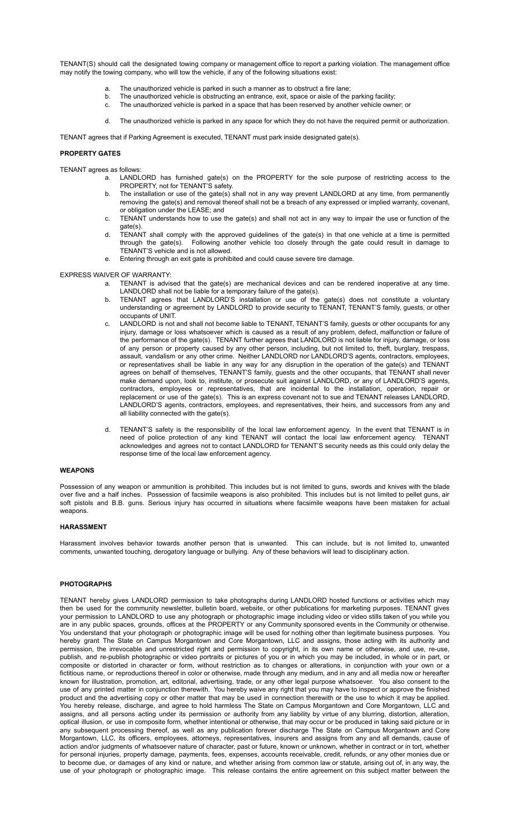TENANT(S) should call the designated towing company or management office to report a parking violation. The management office may notify the towing company, who will tow the vehicle, if any of the following situations exist:

- a. The unauthorized vehicle is parked in such a manner as to obstruct a fire lane;
- b. The unauthorized vehicle is obstructing an entrance, exit, space or aisle of the parking facility;
- c. The unauthorized vehicle is parked in a space that has been reserved by another vehicle owner; or
- d. The unauthorized vehicle is parked in any space for which they do not have the required permit or authorization.

TENANT agrees that if Parking Agreement is executed, TENANT must park inside designated gate(s).

# **PROPERTY GATES**

TENANT agrees as follows:

- a. LANDLORD has furnished gate(s) on the PROPERTY for the sole purpose of restricting access to the PROPERTY, not for TENANT'S safety.
- b. The installation or use of the gate(s) shall not in any way prevent LANDLORD at any time, from permanently removing the gate(s) and removal thereof shall not be a breach of any expressed or implied warranty, covenant, or obligation under the LEASE; and
- c. TENANT understands how to use the gate(s) and shall not act in any way to impair the use or function of the gate(s).
- d. TENANT shall comply with the approved guidelines of the gate(s) in that one vehicle at a time is permitted through the gate(s). Following another vehicle too closely through the gate could result in damage to TENANT'S vehicle and is not allowed.
- e. Entering through an exit gate is prohibited and could cause severe tire damage.

# EXPRESS WAIVER OF WARRANTY:

- a. TENANT is advised that the gate(s) are mechanical devices and can be rendered inoperative at any time. LANDLORD shall not be liable for a temporary failure of the gate(s).
- TENANT agrees that LANDLORD'S installation or use of the gate(s) does not constitute a voluntary understanding or agreement by LANDLORD to provide security to TENANT, TENANT'S family, guests, or other occupants of UNIT.
- c. LANDLORD is not and shall not become liable to TENANT, TENANT'S family, guests or other occupants for any injury, damage or loss whatsoever which is caused as a result of any problem, defect, malfunction or failure of the performance of the gate(s). TENANT further agrees that LANDLORD is not liable for injury, damage, or loss of any person or property caused by any other person, including, but not limited to, theft, burglary, trespass, assault, vandalism or any other crime. Neither LANDLORD nor LANDLORD'S agents, contractors, employees, or representatives shall be liable in any way for any disruption in the operation of the gate(s) and TENANT agrees on behalf of themselves, TENANT'S family, guests and the other occupants, that TENANT shall never make demand upon, look to, institute, or prosecute suit against LANDLORD, or any of LANDLORD'S agents, contractors, employees or representatives, that are incidental to the installation, operation, repair or replacement or use of the gate(s). This is an express covenant not to sue and TENANT releases LANDLORD, LANDLORD'S agents, contractors, employees, and representatives, their heirs, and successors from any and all liability connected with the gate(s).
- d. TENANT'S safety is the responsibility of the local law enforcement agency. In the event that TENANT is in need of police protection of any kind TENANT will contact the local law enforcement agency. TENANT acknowledges and agrees not to contact LANDLORD for TENANT'S security needs as this could only delay the response time of the local law enforcement agency.

## **WEAPONS**

Possession of any weapon or ammunition is prohibited. This includes but is not limited to guns, swords and knives with the blade over five and a half inches. Possession of facsimile weapons is also prohibited. This includes but is not limited to pellet guns, air soft pistols and B.B. guns. Serious injury has occurred in situations where facsimile weapons have been mistaken for actual weapons.

## **HARASSMENT**

Harassment involves behavior towards another person that is unwanted. This can include, but is not limited to, unwanted comments, unwanted touching, derogatory language or bullying. Any of these behaviors will lead to disciplinary action.

# **PHOTOGRAPHS**

TENANT hereby gives LANDLORD permission to take photographs during LANDLORD hosted functions or activities which may then be used for the community newsletter, bulletin board, website, or other publications for marketing purposes. TENANT gives your permission to LANDLORD to use any photograph or photographic image including video or video stills taken of you while you are in any public spaces, grounds, offices at the PROPERTY or any Community sponsored events in the Community or otherwise. You understand that your photograph or photographic image will be used for nothing other than legitimate business purposes. You hereby grant The State on Campus Morgantown and Core Morgantown, LLC and assigns, those acting with its authority and permission, the irrevocable and unrestricted right and permission to copyright, in its own name or otherwise, and use, re-use, publish, and re-publish photographic or video portraits or pictures of you or in which you may be included, in whole or in part, or composite or distorted in character or form, without restriction as to changes or alterations, in conjunction with your own or a fictitious name, or reproductions thereof in color or otherwise, made through any medium, and in any and all media now or hereafter known for illustration, promotion, art, editorial, advertising, trade, or any other legal purpose whatsoever. You also consent to the use of any printed matter in conjunction therewith. You hereby waive any right that you may have to inspect or approve the finished product and the advertising copy or other matter that may be used in connection therewith or the use to which it may be applied. You hereby release, discharge, and agree to hold harmless The State on Campus Morgantown and Core Morgantown, LLC and assigns, and all persons acting under its permission or authority from any liability by virtue of any blurring, distortion, alteration, optical illusion, or use in composite form, whether intentional or otherwise, that may occur or be produced in taking said picture or in any subsequent processing thereof, as well as any publication forever discharge The State on Campus Morgantown and Core Morgantown, LLC, its officers, employees, attorneys, representatives, insurers and assigns from any and all demands, cause of action and/or judgments of whatsoever nature of character, past or future, known or unknown, whether in contract or in tort, whether for personal injuries, property damage, payments, fees, expenses, accounts receivable, credit, refunds, or any other monies due or to become due, or damages of any kind or nature, and whether arising from common law or statute, arising out of, in any way, the use of your photograph or photographic image. This release contains the entire agreement on this subject matter between the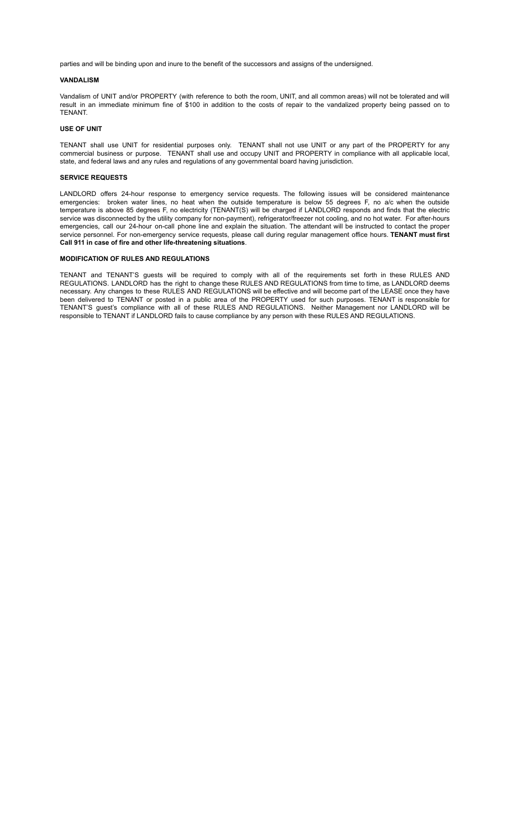parties and will be binding upon and inure to the benefit of the successors and assigns of the undersigned.

## **VANDALISM**

Vandalism of UNIT and/or PROPERTY (with reference to both the room, UNIT, and all common areas) will not be tolerated and will result in an immediate minimum fine of \$100 in addition to the costs of repair to the vandalized property being passed on to **TENANT** 

## **USE OF UNIT**

TENANT shall use UNIT for residential purposes only. TENANT shall not use UNIT or any part of the PROPERTY for any commercial business or purpose. TENANT shall use and occupy UNIT and PROPERTY in compliance with all applicable local, state, and federal laws and any rules and regulations of any governmental board having jurisdiction.

# **SERVICE REQUESTS**

LANDLORD offers 24-hour response to emergency service requests. The following issues will be considered maintenance emergencies: broken water lines, no heat when the outside temperature is below 55 degrees F, no a/c when the outside temperature is above 85 degrees F, no electricity (TENANT(S) will be charged if LANDLORD responds and finds that the electric service was disconnected by the utility company for non-payment), refrigerator/freezer not cooling, and no hot water. For after-hours emergencies, call our 24-hour on-call phone line and explain the situation. The attendant will be instructed to contact the proper service personnel. For non-emergency service requests, please call during regular management office hours. **TENANT must first Call 911 in case of fire and other life-threatening situations**.

# **MODIFICATION OF RULES AND REGULATIONS**

TENANT and TENANT'S guests will be required to comply with all of the requirements set forth in these RULES AND REGULATIONS. LANDLORD has the right to change these RULES AND REGULATIONS from time to time, as LANDLORD deems necessary. Any changes to these RULES AND REGULATIONS will be effective and will become part of the LEASE once they have been delivered to TENANT or posted in a public area of the PROPERTY used for such purposes. TENANT is responsible for TENANT'S guest's compliance with all of these RULES AND REGULATIONS. Neither Management nor LANDLORD will be responsible to TENANT if LANDLORD fails to cause compliance by any person with these RULES AND REGULATIONS.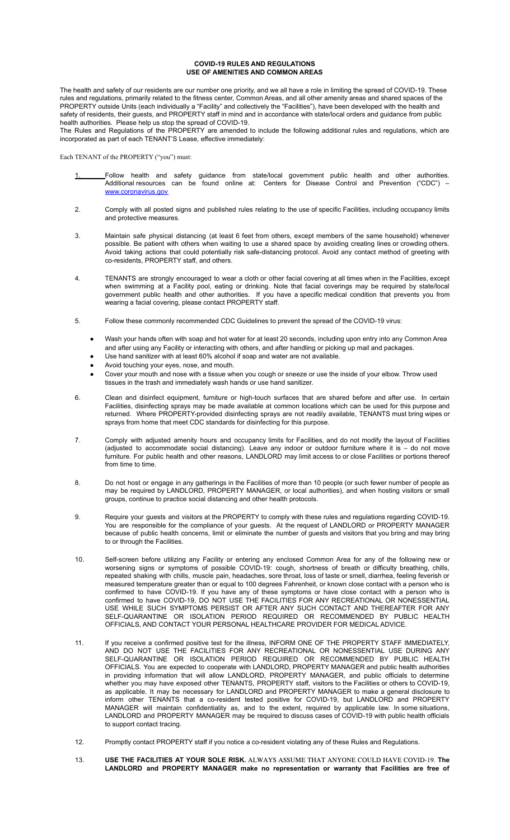## **COVID-19 RULES AND REGULATIONS USE OF AMENITIES AND COMMON AREAS**

The health and safety of our residents are our number one priority, and we all have a role in limiting the spread of COVID-19. These rules and regulations, primarily related to the fitness center, Common Areas, and all other amenity areas and shared spaces of the PROPERTY outside Units (each individually a "Facility" and collectively the "Facilities"), have been developed with the health and safety of residents, their guests, and PROPERTY staff in mind and in accordance with state/local orders and guidance from public health authorities. Please help us stop the spread of COVID-19.

The Rules and Regulations of the PROPERTY are amended to include the following additional rules and regulations, which are incorporated as part of each TENANT'S Lease, effective immediately:

Each TENANT of the PROPERTY ("you") must:

- 1. Follow health and safety guidance from state/local government public health and other authorities. Additional resources can be found online at: Centers for Disease Control and Prevention ("CDC") – [www.coronavirus.gov](http://www.coronavirus.gov)
- 2. Comply with all posted signs and published rules relating to the use of specific Facilities, including occupancy limits and protective measures.
- 3. Maintain safe physical distancing (at least 6 feet from others, except members of the same household) whenever possible. Be patient with others when waiting to use a shared space by avoiding creating lines or crowding others. Avoid taking actions that could potentially risk safe-distancing protocol. Avoid any contact method of greeting with co-residents, PROPERTY staff, and others.
- 4. TENANTS are strongly encouraged to wear a cloth or other facial covering at all times when in the Facilities, except when swimming at a Facility pool, eating or drinking. Note that facial coverings may be required by state/local government public health and other authorities. If you have a specific medical condition that prevents you from wearing a facial covering, please contact PROPERTY staff.
- 5. Follow these commonly recommended CDC Guidelines to prevent the spread of the COVID-19 virus:
	- Wash your hands often with soap and hot water for at least 20 seconds, including upon entry into any Common Area and after using any Facility or interacting with others, and after handling or picking up mail and packages.
	- Use hand sanitizer with at least 60% alcohol if soap and water are not available.
	- Avoid touching your eyes, nose, and mouth.
	- Cover your mouth and nose with a tissue when you cough or sneeze or use the inside of your elbow. Throw used tissues in the trash and immediately wash hands or use hand sanitizer.
- 6. Clean and disinfect equipment, furniture or high-touch surfaces that are shared before and after use. In certain Facilities, disinfecting sprays may be made available at common locations which can be used for this purpose and returned. Where PROPERTY-provided disinfecting sprays are not readily available, TENANTS must bring wipes or sprays from home that meet CDC standards for disinfecting for this purpose.
- 7. Comply with adjusted amenity hours and occupancy limits for Facilities, and do not modify the layout of Facilities (adjusted to accommodate social distancing). Leave any indoor or outdoor furniture where it is – do not move furniture. For public health and other reasons, LANDLORD may limit access to or close Facilities or portions thereof from time to time.
- 8. Do not host or engage in any gatherings in the Facilities of more than 10 people (or such fewer number of people as may be required by LANDLORD, PROPERTY MANAGER, or local authorities), and when hosting visitors or small groups, continue to practice social distancing and other health protocols.
- 9. Require your guests and visitors at the PROPERTY to comply with these rules and regulations regarding COVID-19. You are responsible for the compliance of your guests. At the request of LANDLORD or PROPERTY MANAGER because of public health concerns, limit or eliminate the number of guests and visitors that you bring and may bring to or through the Facilities.
- 10. Self-screen before utilizing any Facility or entering any enclosed Common Area for any of the following new or worsening signs or symptoms of possible COVID-19: cough, shortness of breath or difficulty breathing, chills, repeated shaking with chills, muscle pain, headaches, sore throat, loss of taste or smell, diarrhea, feeling feverish or measured temperature greater than or equal to 100 degrees Fahrenheit, or known close contact with a person who is confirmed to have COVID-19. If you have any of these symptoms or have close contact with a person who is confirmed to have COVID-19, DO NOT USE THE FACILITIES FOR ANY RECREATIONAL OR NONESSENTIAL USE WHILE SUCH SYMPTOMS PERSIST OR AFTER ANY SUCH CONTACT AND THEREAFTER FOR ANY SELF-QUARANTINE OR ISOLATION PERIOD REQUIRED OR RECOMMENDED BY PUBLIC HEALTH OFFICIALS, AND CONTACT YOUR PERSONAL HEALTHCARE PROVIDER FOR MEDICAL ADVICE.
- 11. If you receive a confirmed positive test for the illness, INFORM ONE OF THE PROPERTY STAFF IMMEDIATELY, AND DO NOT USE THE FACILITIES FOR ANY RECREATIONAL OR NONESSENTIAL USE DURING ANY SELF-QUARANTINE OR ISOLATION PERIOD REQUIRED OR RECOMMENDED BY PUBLIC HEALTH OFFICIALS. You are expected to cooperate with LANDLORD, PROPERTY MANAGER and public health authorities in providing information that will allow LANDLORD, PROPERTY MANAGER, and public officials to determine whether you may have exposed other TENANTS, PROPERTY staff, visitors to the Facilities or others to COVID-19, as applicable. It may be necessary for LANDLORD and PROPERTY MANAGER to make a general disclosure to inform other TENANTS that a co-resident tested positive for COVID-19, but LANDLORD and PROPERTY MANAGER will maintain confidentiality as, and to the extent, required by applicable law. In some situations, LANDLORD and PROPERTY MANAGER may be required to discuss cases of COVID-19 with public health officials to support contact tracing.
- 12. Promptly contact PROPERTY staff if you notice a co-resident violating any of these Rules and Regulations.
- 13. **USE THE FACILITIES AT YOUR SOLE RISK.** ALWAYS ASSUME THAT ANYONE COULD HAVE COVID-19. **The LANDLORD and PROPERTY MANAGER make no representation or warranty that Facilities are free of**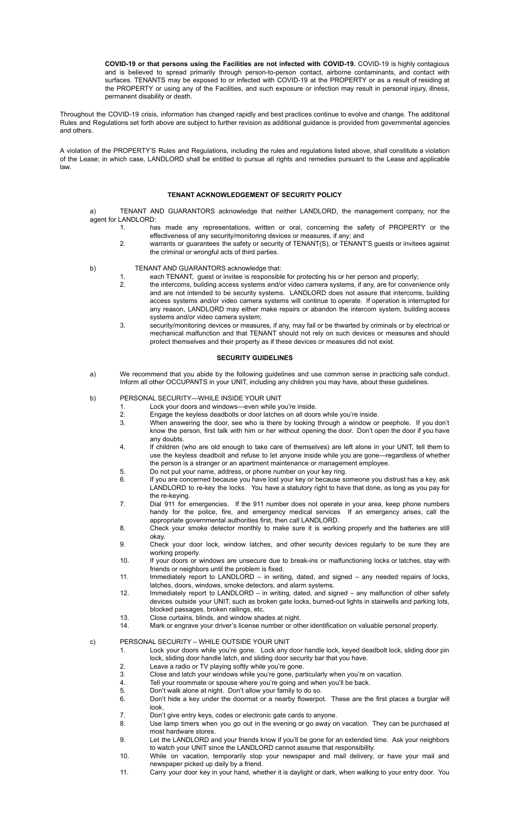**COVID-19 or that persons using the Facilities are not infected with COVID-19.** COVID-19 is highly contagious and is believed to spread primarily through person-to-person contact, airborne contaminants, and contact with surfaces. TENANTS may be exposed to or infected with COVID-19 at the PROPERTY or as a result of residing at the PROPERTY or using any of the Facilities, and such exposure or infection may result in personal injury, illness, permanent disability or death.

Throughout the COVID-19 crisis, information has changed rapidly and best practices continue to evolve and change. The additional Rules and Regulations set forth above are subject to further revision as additional guidance is provided from governmental agencies and others.

A violation of the PROPERTY'S Rules and Regulations, including the rules and regulations listed above, shall constitute a violation of the Lease; in which case, LANDLORD shall be entitled to pursue all rights and remedies pursuant to the Lease and applicable law.

# **TENANT ACKNOWLEDGEMENT OF SECURITY POLICY**

a) TENANT AND GUARANTORS acknowledge that neither LANDLORD, the management company, nor the agent for LANDLORD:

- 1. has made any representations, written or oral, concerning the safety of PROPERTY or the effectiveness of any security/monitoring devices or measures, if any; and
- 2. warrants or guarantees the safety or security of TENANT(S), or TENANT'S guests or invitees against the criminal or wrongful acts of third parties.
- 
- b) TENANT AND GUARANTORS acknowledge that:
	- 1. each TENANT, guest or invitee is responsible for protecting his or her person and property;
	- 2. the intercoms, building access systems and/or video camera systems, if any, are for convenience only and are not intended to be security systems. LANDLORD does not assure that intercoms, building access systems and/or video camera systems will continue to operate. If operation is interrupted for any reason, LANDLORD may either make repairs or abandon the intercom system, building access systems and/or video camera system;
	- 3. security/monitoring devices or measures, if any, may fail or be thwarted by criminals or by electrical or mechanical malfunction and that TENANT should not rely on such devices or measures and should protect themselves and their property as if these devices or measures did not exist.

## **SECURITY GUIDELINES**

a) We recommend that you abide by the following guidelines and use common sense in practicing safe conduct. Inform all other OCCUPANTS in your UNIT, including any children you may have, about these guidelines.

# b) PERSONAL SECURITY—WHILE INSIDE YOUR UNIT

- 1. Lock your doors and windows—even while you're inside.<br>2. Engage the keyless deadbolts or door latches on all door
	-
- 2. Engage the keyless deadbolts or door latches on all doors while you're inside.<br>3. When answering the door, see who is there by looking through a window or When answering the door, see who is there by looking through a window or peephole. If you don't know the person, first talk with him or her without opening the door. Don't open the door if you have any doubts.
- 4. If children (who are old enough to take care of themselves) are left alone in your UNIT, tell them to use the keyless deadbolt and refuse to let anyone inside while you are gone—regardless of whether the person is a stranger or an apartment maintenance or management employee.
- 5. Do not put your name, address, or phone number on your key ring.
- 6. If you are concerned because you have lost your key or because someone you distrust has a key, ask LANDLORD to re-key the locks. You have a statutory right to have that done, as long as you pay for the re-keying.
- 7. Dial 911 for emergencies. If the 911 number does not operate in your area, keep phone numbers handy for the police, fire, and emergency medical services If an emergency arises, call the appropriate governmental authorities first, then call LANDLORD.
- 8. Check your smoke detector monthly to make sure it is working properly and the batteries are still okay.
- 9. Check your door lock, window latches, and other security devices regularly to be sure they are working properly.
- 10. If your doors or windows are unsecure due to break-ins or malfunctioning locks or latches, stay with friends or neighbors until the problem is fixed.
- 11. Immediately report to LANDLORD in writing, dated, and signed any needed repairs of locks, latches, doors, windows, smoke detectors, and alarm systems.
- 12. Immediately report to LANDLORD in writing, dated, and signed any malfunction of other safety devices outside your UNIT, such as broken gate locks, burned-out lights in stairwells and parking lots, blocked passages, broken railings, etc.
- 13. Close curtains, blinds, and window shades at night.
- 14. Mark or engrave your driver's license number or other identification on valuable personal property.

# c) PERSONAL SECURITY – WHILE OUTSIDE YOUR UNIT

- 1. Lock your doors while you're gone. Lock any door handle lock, keyed deadbolt lock, sliding door pin lock, sliding door handle latch, and sliding door security bar that you have.
- 2. Leave a radio or TV playing softly while you're gone.<br>3. Close and latch your windows while you're gone, part
- 3. Close and latch your windows while you're gone, particularly when you're on vacation.<br>4. Tell your roommate or spouse where you're going and when you'll be back.
- 4. Tell your roommate or spouse where you're going and when you'll be back.<br>5 Don't walk alone at night Don't allow your family to do so
- 5. Don't walk alone at night. Don't allow your family to do so. 6. Don't hide a key under the doormat or a nearby flowerpot. These are the first places a burglar will look.
- 7. Don't give entry keys, codes or electronic gate cards to anyone.
- 8. Use lamp timers when you go out in the evening or go away on vacation. They can be purchased at most hardware stores.
- 9. Let the LANDLORD and your friends know if you'll be gone for an extended time. Ask your neighbors to watch your UNIT since the LANDLORD cannot assume that responsibility.
- 10. While on vacation, temporarily stop your newspaper and mail delivery, or have your mail and newspaper picked up daily by a friend.
- 11. Carry your door key in your hand, whether it is daylight or dark, when walking to your entry door. You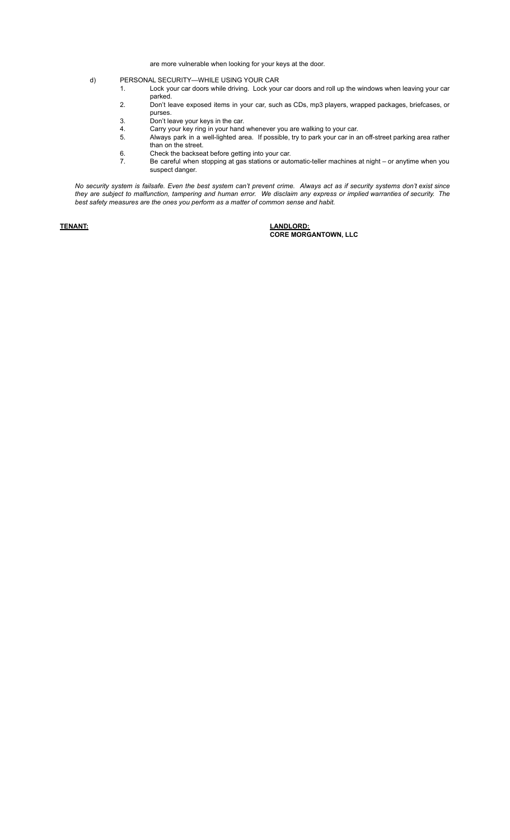are more vulnerable when looking for your keys at the door.

- d) PERSONAL SECURITY—WHILE USING YOUR CAR
	- 1. Lock your car doors while driving. Lock your car doors and roll up the windows when leaving your car parked.
	- 2. Don't leave exposed items in your car, such as CDs, mp3 players, wrapped packages, briefcases, or purses.
	- 3. Don't leave your keys in the car.<br>4. Carry your key ring in your hand
		-
	- 4. Carry your key ring in your hand whenever you are walking to your car.<br>5. Always park in a well-lighted area. If possible, try to park your car in a Always park in a well-lighted area. If possible, try to park your car in an off-street parking area rather than on the street.
	- 6. Check the backseat before getting into your car.
	- 7. Be careful when stopping at gas stations or automatic-teller machines at night or anytime when you suspect danger.

No security system is failsafe. Even the best system can't prevent crime. Always act as if security systems don't exist since they are subject to malfunction, tampering and human error. We disclaim any express or implied warranties of security. The *best safety measures are the ones you perform as a matter of common sense and habit.*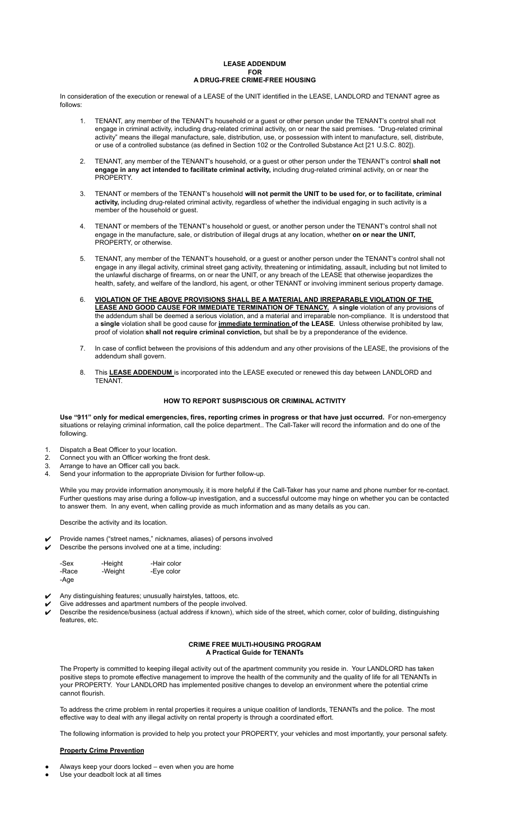## **LEASE ADDENDUM FOR A DRUG-FREE CRIME-FREE HOUSING**

In consideration of the execution or renewal of a LEASE of the UNIT identified in the LEASE, LANDLORD and TENANT agree as follows:

- 1. TENANT, any member of the TENANT's household or a guest or other person under the TENANT's control shall not engage in criminal activity, including drug-related criminal activity, on or near the said premises. "Drug-related criminal activity" means the illegal manufacture, sale, distribution, use, or possession with intent to manufacture, sell, distribute, or use of a controlled substance (as defined in Section 102 or the Controlled Substance Act [21 U.S.C. 802]).
- 2. TENANT, any member of the TENANT's household, or a guest or other person under the TENANT's control **shall not engage in any act intended to facilitate criminal activity,** including drug-related criminal activity, on or near the **PROPERTY**
- 3. TENANT or members of the TENANT's household **will not permit the UNIT to be used for, or to facilitate, criminal activity,** including drug-related criminal activity, regardless of whether the individual engaging in such activity is a member of the household or guest.
- 4. TENANT or members of the TENANT's household or guest, or another person under the TENANT's control shall not engage in the manufacture, sale, or distribution of illegal drugs at any location, whether **on or near the UNIT,** PROPERTY, or otherwise.
- 5. TENANT, any member of the TENANT's household, or a guest or another person under the TENANT's control shall not engage in any illegal activity, criminal street gang activity, threatening or intimidating, assault, including but not limited to the unlawful discharge of firearms, on or near the UNIT, or any breach of the LEASE that otherwise jeopardizes the health, safety, and welfare of the landlord, his agent, or other TENANT or involving imminent serious property damage.
- 6. **VIOLATION OF THE ABOVE PROVISIONS SHALL BE A MATERIAL AND IRREPARABLE VIOLATION OF THE LEASE AND GOOD CAUSE FOR IMMEDIATE TERMINATION OF TENANCY.** A **single** violation of any provisions of the addendum shall be deemed a serious violation, and a material and irreparable non-compliance. It is understood that a **single** violation shall be good cause for **immediate termination of the LEASE**. Unless otherwise prohibited by law, proof of violation **shall not require criminal conviction,** but shall be by a preponderance of the evidence.
- 7. In case of conflict between the provisions of this addendum and any other provisions of the LEASE, the provisions of the addendum shall govern.
- 8. This **LEASE ADDENDUM** is incorporated into the LEASE executed or renewed this day between LANDLORD and TENANT.

# **HOW TO REPORT SUSPISCIOUS OR CRIMINAL ACTIVITY**

Use "911" only for medical emergencies, fires, reporting crimes in progress or that have just occurred. For non-emergency situations or relaying criminal information, call the police department.. The Call-Taker will record the information and do one of the following.

- 1. Dispatch a Beat Officer to your location.
- 2. Connect you with an Officer working the front desk.
- 3. Arrange to have an Officer call you back.
- 4. Send your information to the appropriate Division for further follow-up.

While you may provide information anonymously, it is more helpful if the Call-Taker has your name and phone number for re-contact. Further questions may arise during a follow-up investigation, and a successful outcome may hinge on whether you can be contacted to answer them. In any event, when calling provide as much information and as many details as you can.

Describe the activity and its location.

- ✔ Provide names ("street names," nicknames, aliases) of persons involved
- Describe the persons involved one at a time, including:

| -Sex  | -Height | -Hair color |
|-------|---------|-------------|
| -Race | -Weight | -Eye color  |
| -Aqe  |         |             |

- Any distinguishing features; unusually hairstyles, tattoos, etc.
- Give addresses and apartment numbers of the people involved.
- Describe the residence/business (actual address if known), which side of the street, which corner, color of building, distinguishing features, etc.

# **CRIME FREE MULTI-HOUSING PROGRAM A Practical Guide for TENANTs**

The Property is committed to keeping illegal activity out of the apartment community you reside in. Your LANDLORD has taken positive steps to promote effective management to improve the health of the community and the quality of life for all TENANTs in your PROPERTY. Your LANDLORD has implemented positive changes to develop an environment where the potential crime cannot flourish.

To address the crime problem in rental properties it requires a unique coalition of landlords, TENANTs and the police. The most effective way to deal with any illegal activity on rental property is through a coordinated effort.

The following information is provided to help you protect your PROPERTY, your vehicles and most importantly, your personal safety.

# **Property Crime Prevention**

- Always keep your doors locked  $-$  even when you are home
- Use your deadbolt lock at all times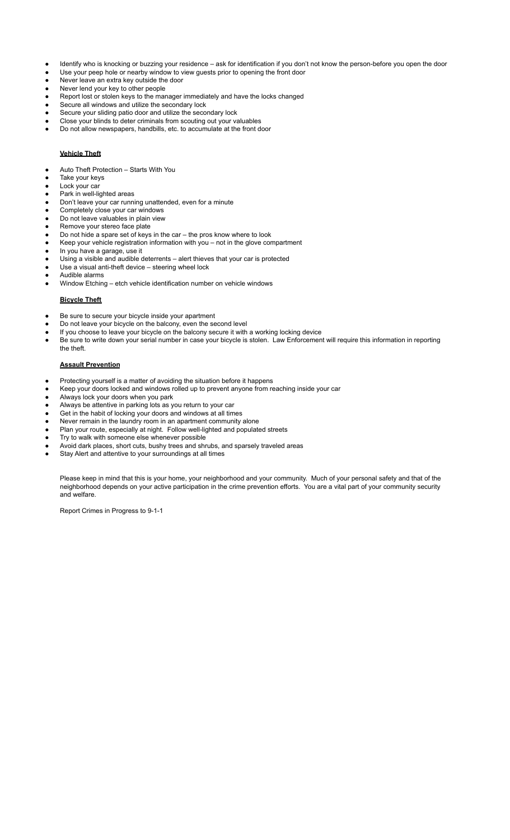- Identify who is knocking or buzzing your residence ask for identification if you don't not know the person-before you open the door
- Use your peep hole or nearby window to view guests prior to opening the front door
- Never leave an extra key outside the door
- Never lend your key to other people
- Report lost or stolen keys to the manager immediately and have the locks changed
- Secure all windows and utilize the secondary lock
- Secure your sliding patio door and utilize the secondary lock
- Close your blinds to deter criminals from scouting out your valuables Do not allow newspapers, handbills, etc. to accumulate at the front door
	- **Vehicle Theft**
- Auto Theft Protection Starts With You
- Take your keys
- Lock your car
- Park in well-lighted areas
- Don't leave your car running unattended, even for a minute
- Completely close your car windows
- Do not leave valuables in plain view
- Remove your stereo face plate Do not hide a spare set of keys in the car  $-$  the pros know where to look
- Keep your vehicle registration information with you not in the glove compartment
- In you have a garage, use it
- Using a visible and audible deterrents alert thieves that your car is protected
- Use a visual anti-theft device  $-$  steering wheel lock
- Audible alarms
- Window Etching etch vehicle identification number on vehicle windows

# **Bicycle Theft**

- Be sure to secure your bicycle inside your apartment
- Do not leave your bicycle on the balcony, even the second level
- If you choose to leave your bicycle on the balcony secure it with a working locking device
- Be sure to write down your serial number in case your bicycle is stolen. Law Enforcement will require this information in reporting the theft.

# **Assault Prevention**

- Protecting yourself is a matter of avoiding the situation before it happens
- Keep your doors locked and windows rolled up to prevent anyone from reaching inside your car
- Always lock your doors when you park
- Always be attentive in parking lots as you return to your car
- Get in the habit of locking your doors and windows at all times
- Never remain in the laundry room in an apartment community alone
- Plan your route, especially at night. Follow well-lighted and populated streets
- Try to walk with someone else whenever possible
- Avoid dark places, short cuts, bushy trees and shrubs, and sparsely traveled areas
- Stay Alert and attentive to your surroundings at all times

Please keep in mind that this is your home, your neighborhood and your community. Much of your personal safety and that of the neighborhood depends on your active participation in the crime prevention efforts. You are a vital part of your community security and welfare.

Report Crimes in Progress to 9-1-1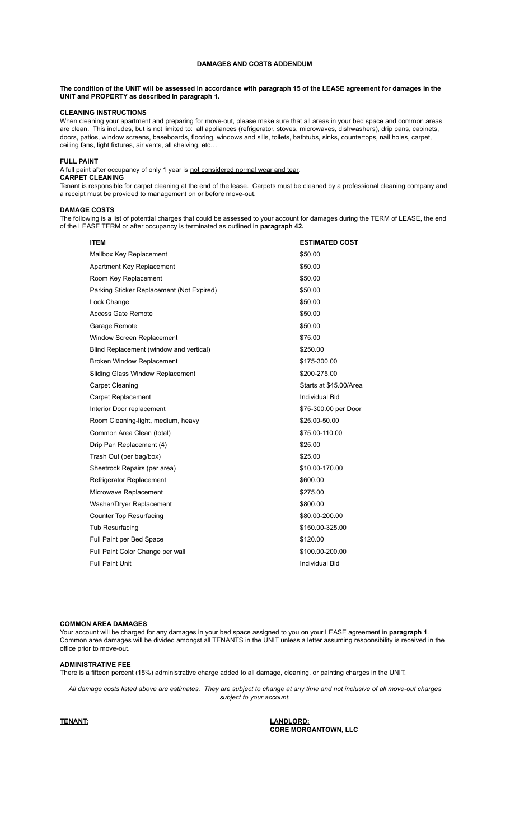# **DAMAGES AND COSTS ADDENDUM**

# The condition of the UNIT will be assessed in accordance with paragraph 15 of the LEASE agreement for damages in the **UNIT and PROPERTY as described in paragraph 1.**

# **CLEANING INSTRUCTIONS**

When cleaning your apartment and preparing for move-out, please make sure that all areas in your bed space and common areas are clean. This includes, but is not limited to: all appliances (refrigerator, stoves, microwaves, dishwashers), drip pans, cabinets, doors, patios, window screens, baseboards, flooring, windows and sills, toilets, bathtubs, sinks, countertops, nail holes, carpet, ceiling fans, light fixtures, air vents, all shelving, etc…

### **FULL PAINT**

A full paint after occupancy of only 1 year is not considered normal wear and tear.

# **CARPET CLEANING**

Tenant is responsible for carpet cleaning at the end of the lease. Carpets must be cleaned by a professional cleaning company and a receipt must be provided to management on or before move-out.

## **DAMAGE COSTS**

The following is a list of potential charges that could be assessed to your account for damages during the TERM of LEASE, the end of the LEASE TERM or after occupancy is terminated as outlined in **paragraph 42.**

| <b>ITEM</b>                               | <b>ESTIMATED COST</b>  |
|-------------------------------------------|------------------------|
| Mailbox Key Replacement                   | \$50.00                |
| Apartment Key Replacement                 | \$50.00                |
| Room Key Replacement                      | \$50.00                |
| Parking Sticker Replacement (Not Expired) | \$50.00                |
| Lock Change                               | \$50.00                |
| <b>Access Gate Remote</b>                 | \$50.00                |
| Garage Remote                             | \$50.00                |
| Window Screen Replacement                 | \$75.00                |
| Blind Replacement (window and vertical)   | \$250.00               |
| <b>Broken Window Replacement</b>          | \$175-300.00           |
| Sliding Glass Window Replacement          | \$200-275.00           |
| <b>Carpet Cleaning</b>                    | Starts at \$45,00/Area |
| <b>Carpet Replacement</b>                 | <b>Individual Bid</b>  |
| Interior Door replacement                 | \$75-300.00 per Door   |
| Room Cleaning-light, medium, heavy        | \$25.00-50.00          |
| Common Area Clean (total)                 | \$75.00-110.00         |
| Drip Pan Replacement (4)                  | \$25.00                |
| Trash Out (per bag/box)                   | \$25.00                |
| Sheetrock Repairs (per area)              | \$10.00-170.00         |
| Refrigerator Replacement                  | \$600.00               |
| Microwave Replacement                     | \$275.00               |
| Washer/Dryer Replacement                  | \$800.00               |
| <b>Counter Top Resurfacing</b>            | \$80.00-200.00         |
| <b>Tub Resurfacing</b>                    | \$150.00-325.00        |
| Full Paint per Bed Space                  | \$120.00               |
| Full Paint Color Change per wall          | \$100.00-200.00        |
| <b>Full Paint Unit</b>                    | <b>Individual Bid</b>  |

## **COMMON AREA DAMAGES**

Your account will be charged for any damages in your bed space assigned to you on your LEASE agreement in **paragraph 1**. Common area damages will be divided amongst all TENANTS in the UNIT unless a letter assuming responsibility is received in the office prior to move-out.

## **ADMINISTRATIVE FEE**

There is a fifteen percent (15%) administrative charge added to all damage, cleaning, or painting charges in the UNIT.

All damage costs listed above are estimates. They are subject to change at any time and not inclusive of all move-out charges *subject to your account.*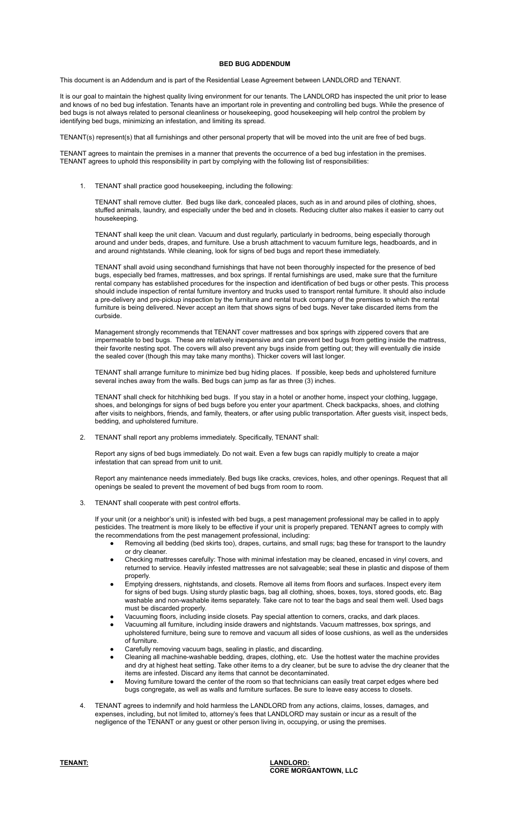## **BED BUG ADDENDUM**

This document is an Addendum and is part of the Residential Lease Agreement between LANDLORD and TENANT.

It is our goal to maintain the highest quality living environment for our tenants. The LANDLORD has inspected the unit prior to lease and knows of no bed bug infestation. Tenants have an important role in preventing and controlling bed bugs. While the presence of bed bugs is not always related to personal cleanliness or housekeeping, good housekeeping will help control the problem by identifying bed bugs, minimizing an infestation, and limiting its spread.

TENANT(s) represent(s) that all furnishings and other personal property that will be moved into the unit are free of bed bugs.

TENANT agrees to maintain the premises in a manner that prevents the occurrence of a bed bug infestation in the premises. TENANT agrees to uphold this responsibility in part by complying with the following list of responsibilities:

1. TENANT shall practice good housekeeping, including the following:

TENANT shall remove clutter. Bed bugs like dark, concealed places, such as in and around piles of clothing, shoes, stuffed animals, laundry, and especially under the bed and in closets. Reducing clutter also makes it easier to carry out housekeeping.

TENANT shall keep the unit clean. Vacuum and dust regularly, particularly in bedrooms, being especially thorough around and under beds, drapes, and furniture. Use a brush attachment to vacuum furniture legs, headboards, and in and around nightstands. While cleaning, look for signs of bed bugs and report these immediately.

TENANT shall avoid using secondhand furnishings that have not been thoroughly inspected for the presence of bed bugs, especially bed frames, mattresses, and box springs. If rental furnishings are used, make sure that the furniture rental company has established procedures for the inspection and identification of bed bugs or other pests. This process should include inspection of rental furniture inventory and trucks used to transport rental furniture. It should also include a pre-delivery and pre-pickup inspection by the furniture and rental truck company of the premises to which the rental furniture is being delivered. Never accept an item that shows signs of bed bugs. Never take discarded items from the curbside.

Management strongly recommends that TENANT cover mattresses and box springs with zippered covers that are impermeable to bed bugs. These are relatively inexpensive and can prevent bed bugs from getting inside the mattress, their favorite nesting spot. The covers will also prevent any bugs inside from getting out; they will eventually die inside the sealed cover (though this may take many months). Thicker covers will last longer.

TENANT shall arrange furniture to minimize bed bug hiding places. If possible, keep beds and upholstered furniture several inches away from the walls. Bed bugs can jump as far as three (3) inches.

TENANT shall check for hitchhiking bed bugs. If you stay in a hotel or another home, inspect your clothing, luggage, shoes, and belongings for signs of bed bugs before you enter your apartment. Check backpacks, shoes, and clothing after visits to neighbors, friends, and family, theaters, or after using public transportation. After guests visit, inspect beds, bedding, and upholstered furniture.

2. TENANT shall report any problems immediately. Specifically, TENANT shall:

Report any signs of bed bugs immediately. Do not wait. Even a few bugs can rapidly multiply to create a major infestation that can spread from unit to unit.

Report any maintenance needs immediately. Bed bugs like cracks, crevices, holes, and other openings. Request that all openings be sealed to prevent the movement of bed bugs from room to room.

3. TENANT shall cooperate with pest control efforts.

If your unit (or a neighbor's unit) is infested with bed bugs, a pest management professional may be called in to apply pesticides. The treatment is more likely to be effective if your unit is properly prepared. TENANT agrees to comply with the recommendations from the pest management professional, including:

- Removing all bedding (bed skirts too), drapes, curtains, and small rugs; bag these for transport to the laundry or dry cleaner.
- Checking mattresses carefully: Those with minimal infestation may be cleaned, encased in vinyl covers, and returned to service. Heavily infested mattresses are not salvageable; seal these in plastic and dispose of them properly.
- Emptying dressers, nightstands, and closets. Remove all items from floors and surfaces. Inspect every item for signs of bed bugs. Using sturdy plastic bags, bag all clothing, shoes, boxes, toys, stored goods, etc. Bag washable and non-washable items separately. Take care not to tear the bags and seal them well. Used bags must be discarded properly.
- Vacuuming floors, including inside closets. Pay special attention to corners, cracks, and dark places.
- Vacuuming all furniture, including inside drawers and nightstands. Vacuum mattresses, box springs, and upholstered furniture, being sure to remove and vacuum all sides of loose cushions, as well as the undersides of furniture.
- Carefully removing vacuum bags, sealing in plastic, and discarding.
- Cleaning all machine-washable bedding, drapes, clothing, etc. Use the hottest water the machine provides and dry at highest heat setting. Take other items to a dry cleaner, but be sure to advise the dry cleaner that the items are infested. Discard any items that cannot be decontaminated.
- Moving furniture toward the center of the room so that technicians can easily treat carpet edges where bed bugs congregate, as well as walls and furniture surfaces. Be sure to leave easy access to closets.
- TENANT agrees to indemnify and hold harmless the LANDLORD from any actions, claims, losses, damages, and expenses, including, but not limited to, attorney's fees that LANDLORD may sustain or incur as a result of the negligence of the TENANT or any guest or other person living in, occupying, or using the premises.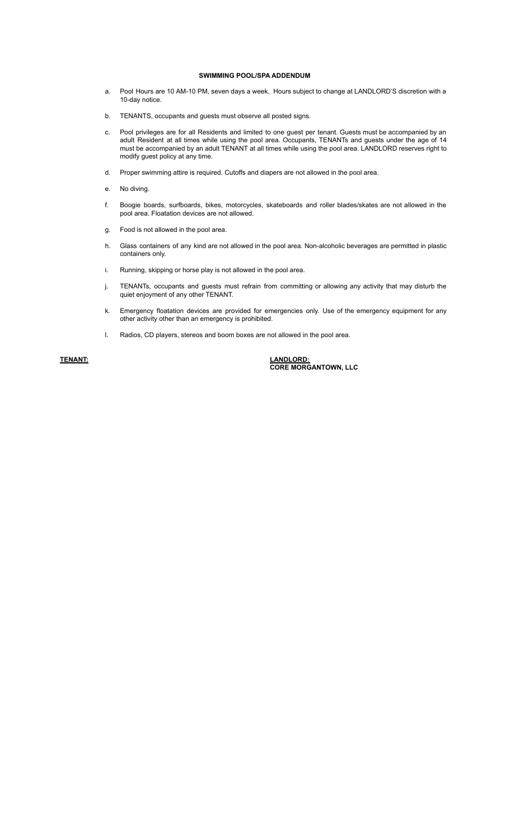## **SWIMMING POOL/SPA ADDENDUM**

- a. Pool Hours are 10 AM-10 PM, seven days a week. Hours subject to change at LANDLORD'S discretion with a 10-day notice.
- b. TENANTS, occupants and guests must observe all posted signs.
- c. Pool privileges are for all Residents and limited to one guest per tenant. Guests must be accompanied by an adult Resident at all times while using the pool area. Occupants, TENANTs and guests under the age of 14 must be accompanied by an adult TENANT at all times while using the pool area. LANDLORD reserves right to modify guest policy at any time.
- d. Proper swimming attire is required. Cutoffs and diapers are not allowed in the pool area.
- e. No diving.
- f. Boogie boards, surfboards, bikes, motorcycles, skateboards and roller blades/skates are not allowed in the pool area. Floatation devices are not allowed.
- g. Food is not allowed in the pool area.
- h. Glass containers of any kind are not allowed in the pool area. Non-alcoholic beverages are permitted in plastic containers only.
- i. Running, skipping or horse play is not allowed in the pool area.
- j. TENANTs, occupants and guests must refrain from committing or allowing any activity that may disturb the quiet enjoyment of any other TENANT.
- k. Emergency floatation devices are provided for emergencies only. Use of the emergency equipment for any other activity other than an emergency is prohibited.
- l. Radios, CD players, stereos and boom boxes are not allowed in the pool area.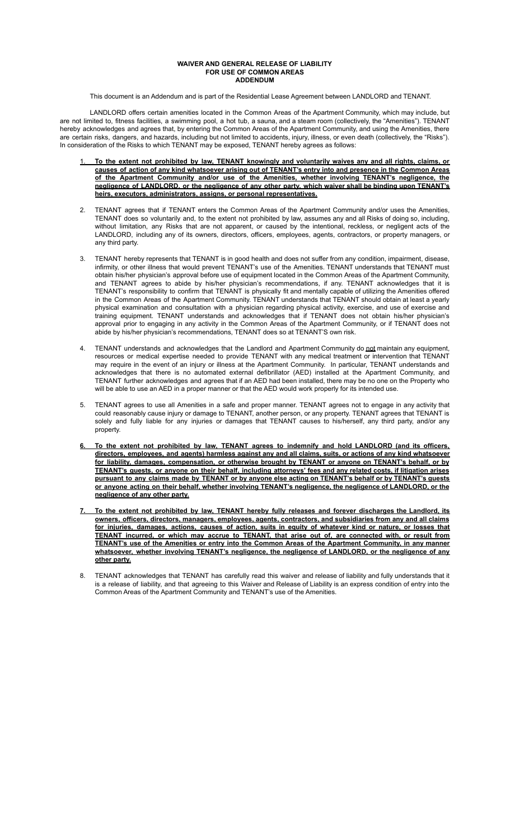### **WAIVER AND GENERAL RELEASE OF LIABILITY FOR USE OF COMMON AREAS ADDENDUM**

This document is an Addendum and is part of the Residential Lease Agreement between LANDLORD and TFNANT.

LANDLORD offers certain amenities located in the Common Areas of the Apartment Community, which may include, but are not limited to, fitness facilities, a swimming pool, a hot tub, a sauna, and a steam room (collectively, the "Amenities"). TENANT hereby acknowledges and agrees that, by entering the Common Areas of the Apartment Community, and using the Amenities, there are certain risks, dangers, and hazards, including but not limited to accidents, injury, illness, or even death (collectively, the "Risks"). In consideration of the Risks to which TENANT may be exposed, TENANT hereby agrees as follows:

- To the extent not prohibited by law, TENANT knowingly and voluntarily waives any and all rights, claims, or causes of action of any kind whatsoever arising out of TENANT's entry into and presence in the Common Areas **of the Apartment Community and/or use of the Amenities, whether involving TENANT's negligence, the negligence of LANDLORD, or the negligence of any other party, which waiver shall be binding upon TENANT's heirs, executors, administrators, assigns, or personal representatives.**
- 2. TENANT agrees that if TENANT enters the Common Areas of the Apartment Community and/or uses the Amenities, TENANT does so voluntarily and, to the extent not prohibited by law, assumes any and all Risks of doing so, including, without limitation, any Risks that are not apparent, or caused by the intentional, reckless, or negligent acts of the LANDLORD, including any of its owners, directors, officers, employees, agents, contractors, or property managers, or any third party.
- 3. TENANT hereby represents that TENANT is in good health and does not suffer from any condition, impairment, disease, infirmity, or other illness that would prevent TENANT's use of the Amenities. TENANT understands that TENANT must obtain his/her physician's approval before use of equipment located in the Common Areas of the Apartment Community, and TENANT agrees to abide by his/her physician's recommendations, if any. TENANT acknowledges that it is TENANT's responsibility to confirm that TENANT is physically fit and mentally capable of utilizing the Amenities offered in the Common Areas of the Apartment Community. TENANT understands that TENANT should obtain at least a yearly physical examination and consultation with a physician regarding physical activity, exercise, and use of exercise and training equipment. TENANT understands and acknowledges that if TENANT does not obtain his/her physician's approval prior to engaging in any activity in the Common Areas of the Apartment Community, or if TENANT does not abide by his/her physician's recommendations, TENANT does so at TENANT'S own risk.
- 4. TENANT understands and acknowledges that the Landlord and Apartment Community do not maintain any equipment, resources or medical expertise needed to provide TENANT with any medical treatment or intervention that TENANT may require in the event of an injury or illness at the Apartment Community. In particular, TENANT understands and acknowledges that there is no automated external defibrillator (AED) installed at the Apartment Community, and TENANT further acknowledges and agrees that if an AED had been installed, there may be no one on the Property who will be able to use an AED in a proper manner or that the AED would work properly for its intended use.
- 5. TENANT agrees to use all Amenities in a safe and proper manner. TENANT agrees not to engage in any activity that could reasonably cause injury or damage to TENANT, another person, or any property. TENANT agrees that TENANT is solely and fully liable for any injuries or damages that TENANT causes to his/herself, any third party, and/or any property.
- To the extent not prohibited by law. TENANT agrees to indemnify and hold LANDLORD (and its officers. directors, employees, and agents) harmless against any and all claims, suits, or actions of any kind whatsoever **for liability, damages, compensation, or otherwise brought by TENANT or anyone on TENANT's behalf, or by** TENANT's guests, or anyone on their behalf, including attorneys' fees and any related costs, if litigation arises pursuant to any claims made by TENANT or by anyone else acting on TENANT's behalf or by TENANT's guests **or anyone acting on their behalf, whether involving TENANT's negligence, the negligence of LANDLORD, or the negligence of any other party.**
- To the extent not prohibited by law, TENANT hereby fully releases and forever discharges the Landlord, its **owners, officers, directors, managers, employees, agents, contractors, and subsidiaries from any and all claims** <u>for injuries, damages, actions, causes of action, suits in equity of whatever kind or nature, or losses that</u> TENANT incurred, or which may accrue to TENANT, that arise out of, are connected with, or result from TENANT's use of the Amenities or entry into the Common Areas of the Apartment Community, in any manner **whatsoever, whether involving TENANT's negligence, the negligence of LANDLORD, or the negligence of any other party.**
- 8. TENANT acknowledges that TENANT has carefully read this waiver and release of liability and fully understands that it is a release of liability, and that agreeing to this Waiver and Release of Liability is an express condition of entry into the Common Areas of the Apartment Community and TENANT's use of the Amenities.